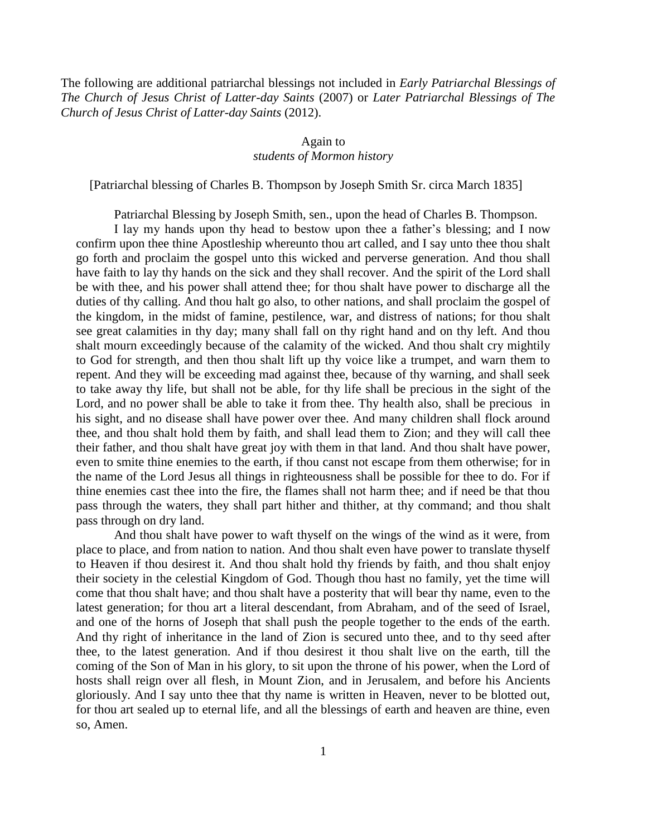The following are additional patriarchal blessings not included in *Early Patriarchal Blessings of The Church of Jesus Christ of Latter-day Saints* (2007) or *Later Patriarchal Blessings of The Church of Jesus Christ of Latter-day Saints* (2012).

## Again to

## *students of Mormon history*

[Patriarchal blessing of Charles B. Thompson by Joseph Smith Sr. circa March 1835]

Patriarchal Blessing by Joseph Smith, sen., upon the head of Charles B. Thompson.

I lay my hands upon thy head to bestow upon thee a father's blessing; and I now confirm upon thee thine Apostleship whereunto thou art called, and I say unto thee thou shalt go forth and proclaim the gospel unto this wicked and perverse generation. And thou shall have faith to lay thy hands on the sick and they shall recover. And the spirit of the Lord shall be with thee, and his power shall attend thee; for thou shalt have power to discharge all the duties of thy calling. And thou halt go also, to other nations, and shall proclaim the gospel of the kingdom, in the midst of famine, pestilence, war, and distress of nations; for thou shalt see great calamities in thy day; many shall fall on thy right hand and on thy left. And thou shalt mourn exceedingly because of the calamity of the wicked. And thou shalt cry mightily to God for strength, and then thou shalt lift up thy voice like a trumpet, and warn them to repent. And they will be exceeding mad against thee, because of thy warning, and shall seek to take away thy life, but shall not be able, for thy life shall be precious in the sight of the Lord, and no power shall be able to take it from thee. Thy health also, shall be precious in his sight, and no disease shall have power over thee. And many children shall flock around thee, and thou shalt hold them by faith, and shall lead them to Zion; and they will call thee their father, and thou shalt have great joy with them in that land. And thou shalt have power, even to smite thine enemies to the earth, if thou canst not escape from them otherwise; for in the name of the Lord Jesus all things in righteousness shall be possible for thee to do. For if thine enemies cast thee into the fire, the flames shall not harm thee; and if need be that thou pass through the waters, they shall part hither and thither, at thy command; and thou shalt pass through on dry land.

And thou shalt have power to waft thyself on the wings of the wind as it were, from place to place, and from nation to nation. And thou shalt even have power to translate thyself to Heaven if thou desirest it. And thou shalt hold thy friends by faith, and thou shalt enjoy their society in the celestial Kingdom of God. Though thou hast no family, yet the time will come that thou shalt have; and thou shalt have a posterity that will bear thy name, even to the latest generation; for thou art a literal descendant, from Abraham, and of the seed of Israel, and one of the horns of Joseph that shall push the people together to the ends of the earth. And thy right of inheritance in the land of Zion is secured unto thee, and to thy seed after thee, to the latest generation. And if thou desirest it thou shalt live on the earth, till the coming of the Son of Man in his glory, to sit upon the throne of his power, when the Lord of hosts shall reign over all flesh, in Mount Zion, and in Jerusalem, and before his Ancients gloriously. And I say unto thee that thy name is written in Heaven, never to be blotted out, for thou art sealed up to eternal life, and all the blessings of earth and heaven are thine, even so, Amen.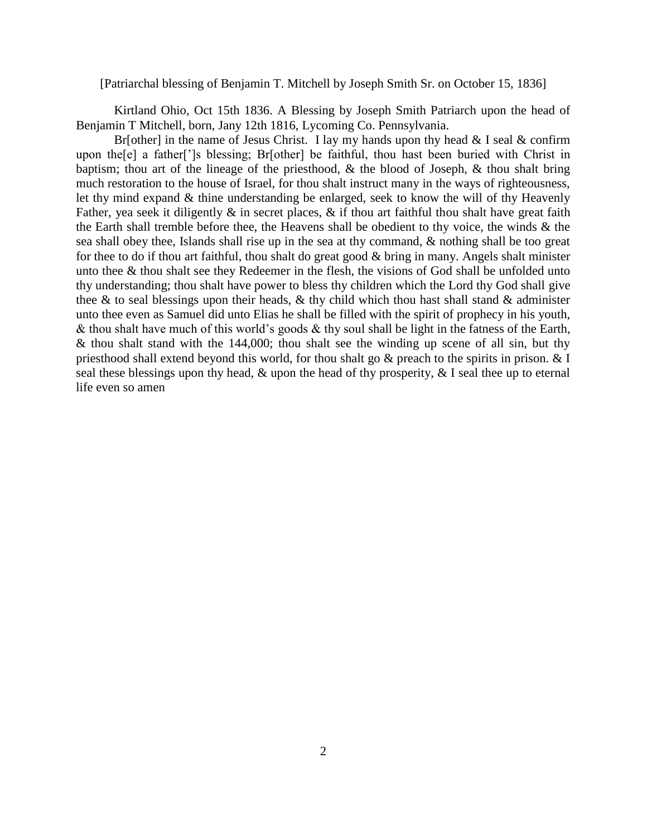#### [Patriarchal blessing of Benjamin T. Mitchell by Joseph Smith Sr. on October 15, 1836]

Kirtland Ohio, Oct 15th 1836. A Blessing by Joseph Smith Patriarch upon the head of Benjamin T Mitchell, born, Jany 12th 1816, Lycoming Co. Pennsylvania.

Br[other] in the name of Jesus Christ. I lay my hands upon thy head  $&$  I seal  $&$  confirm upon the[e] a father[']s blessing; Br[other] be faithful, thou hast been buried with Christ in baptism; thou art of the lineage of the priesthood, & the blood of Joseph, & thou shalt bring much restoration to the house of Israel, for thou shalt instruct many in the ways of righteousness, let thy mind expand & thine understanding be enlarged, seek to know the will of thy Heavenly Father, yea seek it diligently  $\&$  in secret places,  $\&$  if thou art faithful thou shalt have great faith the Earth shall tremble before thee, the Heavens shall be obedient to thy voice, the winds & the sea shall obey thee, Islands shall rise up in the sea at thy command, & nothing shall be too great for thee to do if thou art faithful, thou shalt do great good & bring in many. Angels shalt minister unto thee & thou shalt see they Redeemer in the flesh, the visions of God shall be unfolded unto thy understanding; thou shalt have power to bless thy children which the Lord thy God shall give thee  $\&$  to seal blessings upon their heads,  $\&$  thy child which thou hast shall stand  $\&$  administer unto thee even as Samuel did unto Elias he shall be filled with the spirit of prophecy in his youth, & thou shalt have much of this world's goods & thy soul shall be light in the fatness of the Earth,  $\&$  thou shalt stand with the 144,000; thou shalt see the winding up scene of all sin, but thy priesthood shall extend beyond this world, for thou shalt go & preach to the spirits in prison. & I seal these blessings upon thy head,  $\&$  upon the head of thy prosperity,  $\&$  I seal thee up to eternal life even so amen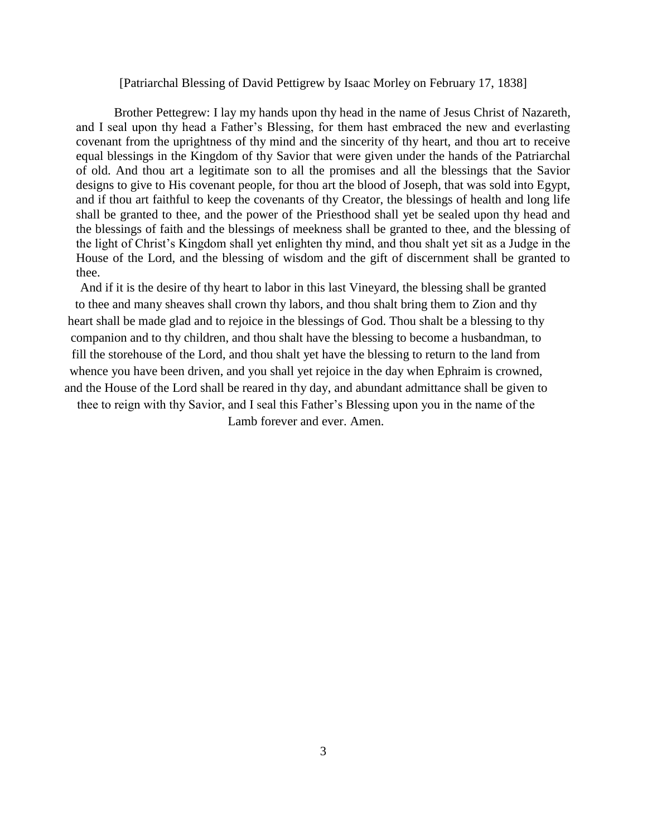### [Patriarchal Blessing of David Pettigrew by Isaac Morley on February 17, 1838]

Brother Pettegrew: I lay my hands upon thy head in the name of Jesus Christ of Nazareth, and I seal upon thy head a Father's Blessing, for them hast embraced the new and everlasting covenant from the uprightness of thy mind and the sincerity of thy heart, and thou art to receive equal blessings in the Kingdom of thy Savior that were given under the hands of the Patriarchal of old. And thou art a legitimate son to all the promises and all the blessings that the Savior designs to give to His covenant people, for thou art the blood of Joseph, that was sold into Egypt, and if thou art faithful to keep the covenants of thy Creator, the blessings of health and long life shall be granted to thee, and the power of the Priesthood shall yet be sealed upon thy head and the blessings of faith and the blessings of meekness shall be granted to thee, and the blessing of the light of Christ's Kingdom shall yet enlighten thy mind, and thou shalt yet sit as a Judge in the House of the Lord, and the blessing of wisdom and the gift of discernment shall be granted to thee.

And if it is the desire of thy heart to labor in this last Vineyard, the blessing shall be granted to thee and many sheaves shall crown thy labors, and thou shalt bring them to Zion and thy heart shall be made glad and to rejoice in the blessings of God. Thou shalt be a blessing to thy companion and to thy children, and thou shalt have the blessing to become a husbandman, to fill the storehouse of the Lord, and thou shalt yet have the blessing to return to the land from whence you have been driven, and you shall yet rejoice in the day when Ephraim is crowned, and the House of the Lord shall be reared in thy day, and abundant admittance shall be given to thee to reign with thy Savior, and I seal this Father's Blessing upon you in the name of the

Lamb forever and ever. Amen.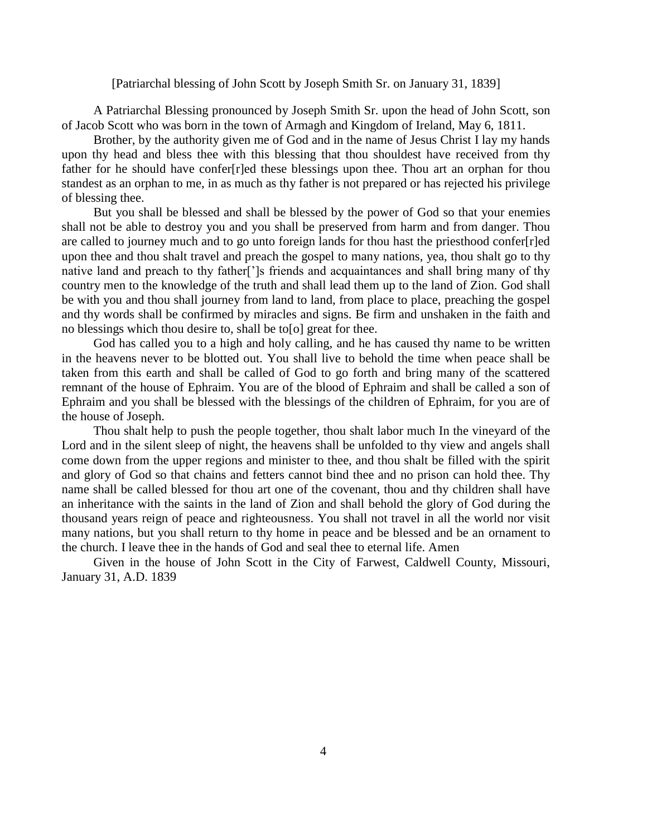### [Patriarchal blessing of John Scott by Joseph Smith Sr. on January 31, 1839]

 A Patriarchal Blessing pronounced by Joseph Smith Sr. upon the head of John Scott, son of Jacob Scott who was born in the town of Armagh and Kingdom of Ireland, May 6, 1811.

 Brother, by the authority given me of God and in the name of Jesus Christ I lay my hands upon thy head and bless thee with this blessing that thou shouldest have received from thy father for he should have confer[r]ed these blessings upon thee. Thou art an orphan for thou standest as an orphan to me, in as much as thy father is not prepared or has rejected his privilege of blessing thee.

 But you shall be blessed and shall be blessed by the power of God so that your enemies shall not be able to destroy you and you shall be preserved from harm and from danger. Thou are called to journey much and to go unto foreign lands for thou hast the priesthood confer[r]ed upon thee and thou shalt travel and preach the gospel to many nations, yea, thou shalt go to thy native land and preach to thy father[']s friends and acquaintances and shall bring many of thy country men to the knowledge of the truth and shall lead them up to the land of Zion. God shall be with you and thou shall journey from land to land, from place to place, preaching the gospel and thy words shall be confirmed by miracles and signs. Be firm and unshaken in the faith and no blessings which thou desire to, shall be to[o] great for thee.

 God has called you to a high and holy calling, and he has caused thy name to be written in the heavens never to be blotted out. You shall live to behold the time when peace shall be taken from this earth and shall be called of God to go forth and bring many of the scattered remnant of the house of Ephraim. You are of the blood of Ephraim and shall be called a son of Ephraim and you shall be blessed with the blessings of the children of Ephraim, for you are of the house of Joseph.

 Thou shalt help to push the people together, thou shalt labor much In the vineyard of the Lord and in the silent sleep of night, the heavens shall be unfolded to thy view and angels shall come down from the upper regions and minister to thee, and thou shalt be filled with the spirit and glory of God so that chains and fetters cannot bind thee and no prison can hold thee. Thy name shall be called blessed for thou art one of the covenant, thou and thy children shall have an inheritance with the saints in the land of Zion and shall behold the glory of God during the thousand years reign of peace and righteousness. You shall not travel in all the world nor visit many nations, but you shall return to thy home in peace and be blessed and be an ornament to the church. I leave thee in the hands of God and seal thee to eternal life. Amen

 Given in the house of John Scott in the City of Farwest, Caldwell County, Missouri, January 31, A.D. 1839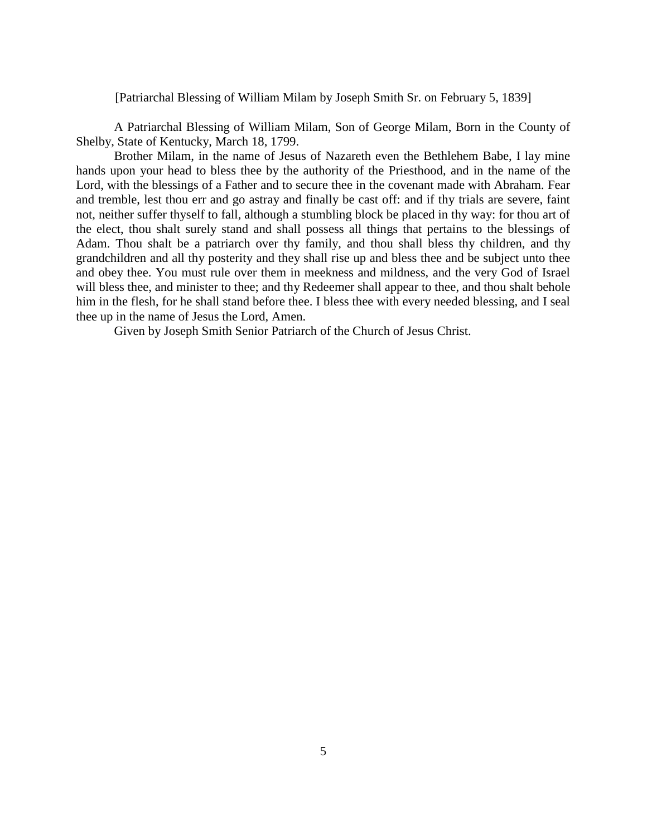[Patriarchal Blessing of William Milam by Joseph Smith Sr. on February 5, 1839]

A Patriarchal Blessing of William Milam, Son of George Milam, Born in the County of Shelby, State of Kentucky, March 18, 1799.

Brother Milam, in the name of Jesus of Nazareth even the Bethlehem Babe, I lay mine hands upon your head to bless thee by the authority of the Priesthood, and in the name of the Lord, with the blessings of a Father and to secure thee in the covenant made with Abraham. Fear and tremble, lest thou err and go astray and finally be cast off: and if thy trials are severe, faint not, neither suffer thyself to fall, although a stumbling block be placed in thy way: for thou art of the elect, thou shalt surely stand and shall possess all things that pertains to the blessings of Adam. Thou shalt be a patriarch over thy family, and thou shall bless thy children, and thy grandchildren and all thy posterity and they shall rise up and bless thee and be subject unto thee and obey thee. You must rule over them in meekness and mildness, and the very God of Israel will bless thee, and minister to thee; and thy Redeemer shall appear to thee, and thou shalt behole him in the flesh, for he shall stand before thee. I bless thee with every needed blessing, and I seal thee up in the name of Jesus the Lord, Amen.

Given by Joseph Smith Senior Patriarch of the Church of Jesus Christ.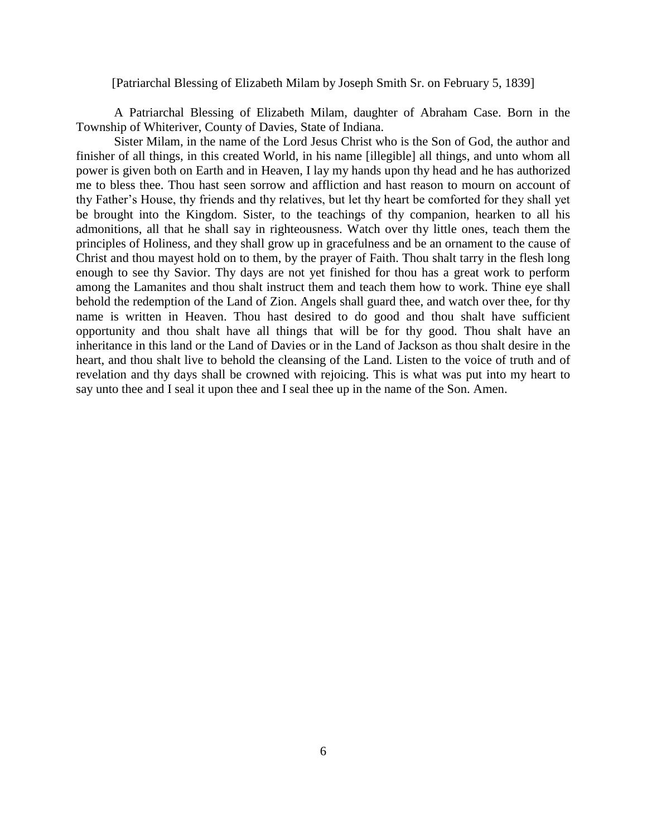#### [Patriarchal Blessing of Elizabeth Milam by Joseph Smith Sr. on February 5, 1839]

A Patriarchal Blessing of Elizabeth Milam, daughter of Abraham Case. Born in the Township of Whiteriver, County of Davies, State of Indiana.

Sister Milam, in the name of the Lord Jesus Christ who is the Son of God, the author and finisher of all things, in this created World, in his name [illegible] all things, and unto whom all power is given both on Earth and in Heaven, I lay my hands upon thy head and he has authorized me to bless thee. Thou hast seen sorrow and affliction and hast reason to mourn on account of thy Father's House, thy friends and thy relatives, but let thy heart be comforted for they shall yet be brought into the Kingdom. Sister, to the teachings of thy companion, hearken to all his admonitions, all that he shall say in righteousness. Watch over thy little ones, teach them the principles of Holiness, and they shall grow up in gracefulness and be an ornament to the cause of Christ and thou mayest hold on to them, by the prayer of Faith. Thou shalt tarry in the flesh long enough to see thy Savior. Thy days are not yet finished for thou has a great work to perform among the Lamanites and thou shalt instruct them and teach them how to work. Thine eye shall behold the redemption of the Land of Zion. Angels shall guard thee, and watch over thee, for thy name is written in Heaven. Thou hast desired to do good and thou shalt have sufficient opportunity and thou shalt have all things that will be for thy good. Thou shalt have an inheritance in this land or the Land of Davies or in the Land of Jackson as thou shalt desire in the heart, and thou shalt live to behold the cleansing of the Land. Listen to the voice of truth and of revelation and thy days shall be crowned with rejoicing. This is what was put into my heart to say unto thee and I seal it upon thee and I seal thee up in the name of the Son. Amen.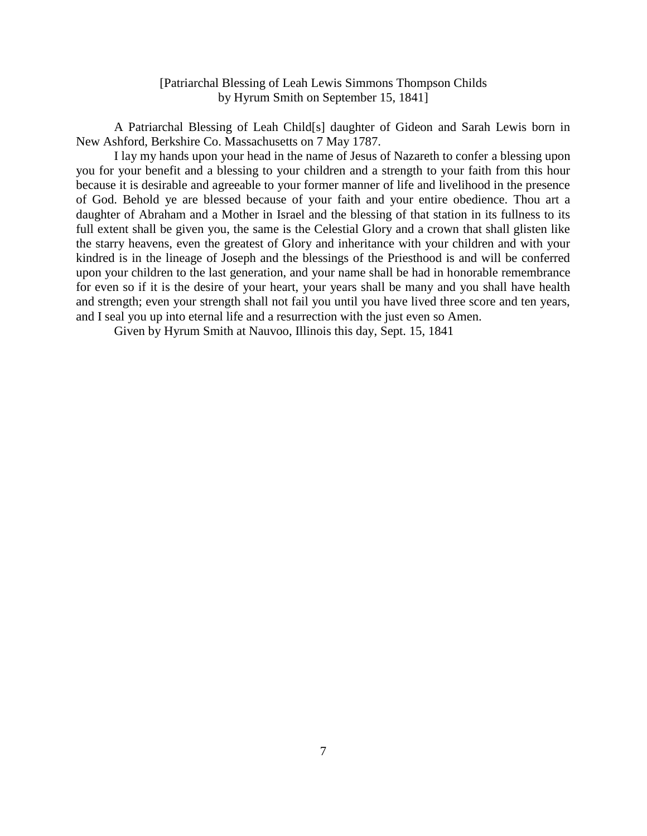## [Patriarchal Blessing of Leah Lewis Simmons Thompson Childs by Hyrum Smith on September 15, 1841]

A Patriarchal Blessing of Leah Child[s] daughter of Gideon and Sarah Lewis born in New Ashford, Berkshire Co. Massachusetts on 7 May 1787.

I lay my hands upon your head in the name of Jesus of Nazareth to confer a blessing upon you for your benefit and a blessing to your children and a strength to your faith from this hour because it is desirable and agreeable to your former manner of life and livelihood in the presence of God. Behold ye are blessed because of your faith and your entire obedience. Thou art a daughter of Abraham and a Mother in Israel and the blessing of that station in its fullness to its full extent shall be given you, the same is the Celestial Glory and a crown that shall glisten like the starry heavens, even the greatest of Glory and inheritance with your children and with your kindred is in the lineage of Joseph and the blessings of the Priesthood is and will be conferred upon your children to the last generation, and your name shall be had in honorable remembrance for even so if it is the desire of your heart, your years shall be many and you shall have health and strength; even your strength shall not fail you until you have lived three score and ten years, and I seal you up into eternal life and a resurrection with the just even so Amen.

Given by Hyrum Smith at Nauvoo, Illinois this day, Sept. 15, 1841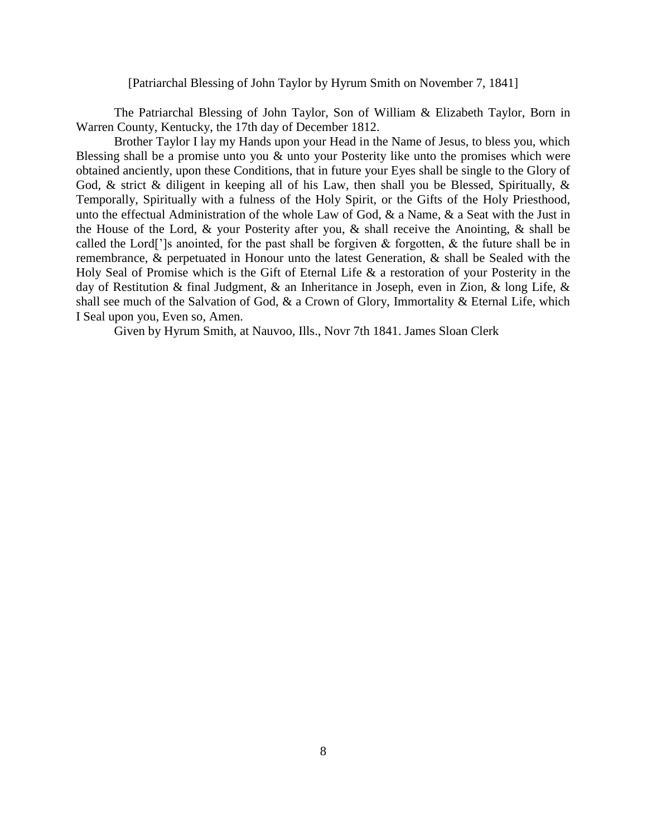[Patriarchal Blessing of John Taylor by Hyrum Smith on November 7, 1841]

The Patriarchal Blessing of John Taylor, Son of William & Elizabeth Taylor, Born in Warren County, Kentucky, the 17th day of December 1812.

Brother Taylor I lay my Hands upon your Head in the Name of Jesus, to bless you, which Blessing shall be a promise unto you & unto your Posterity like unto the promises which were obtained anciently, upon these Conditions, that in future your Eyes shall be single to the Glory of God, & strict & diligent in keeping all of his Law, then shall you be Blessed, Spiritually, & Temporally, Spiritually with a fulness of the Holy Spirit, or the Gifts of the Holy Priesthood, unto the effectual Administration of the whole Law of God, & a Name, & a Seat with the Just in the House of the Lord, & your Posterity after you, & shall receive the Anointing, & shall be called the Lord[']s anointed, for the past shall be forgiven & forgotten, & the future shall be in remembrance, & perpetuated in Honour unto the latest Generation, & shall be Sealed with the Holy Seal of Promise which is the Gift of Eternal Life & a restoration of your Posterity in the day of Restitution & final Judgment, & an Inheritance in Joseph, even in Zion, & long Life, & shall see much of the Salvation of God, & a Crown of Glory, Immortality & Eternal Life, which I Seal upon you, Even so, Amen.

Given by Hyrum Smith, at Nauvoo, Ills., Novr 7th 1841. James Sloan Clerk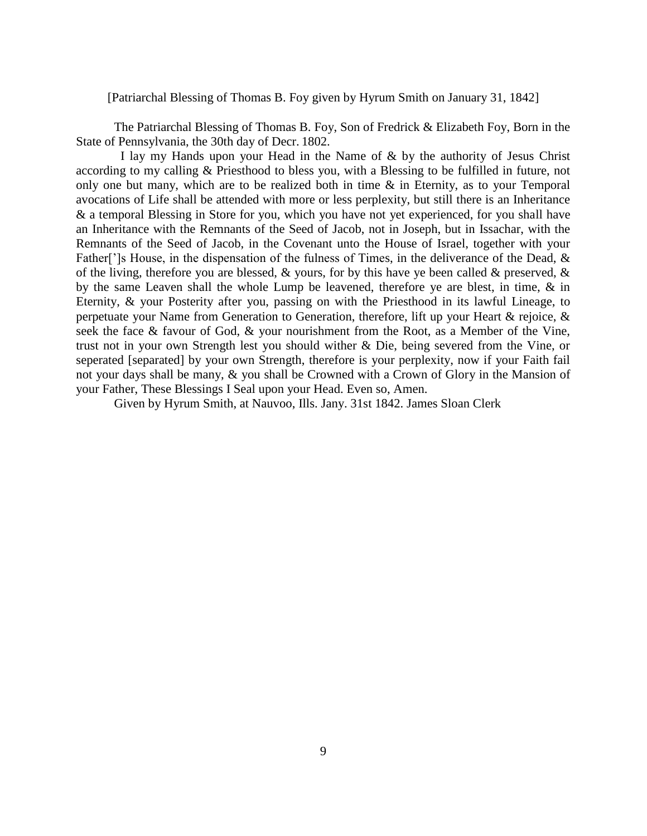## [Patriarchal Blessing of Thomas B. Foy given by Hyrum Smith on January 31, 1842]

The Patriarchal Blessing of Thomas B. Foy, Son of Fredrick & Elizabeth Foy, Born in the State of Pennsylvania, the 30th day of Decr. 1802.

 I lay my Hands upon your Head in the Name of & by the authority of Jesus Christ according to my calling & Priesthood to bless you, with a Blessing to be fulfilled in future, not only one but many, which are to be realized both in time & in Eternity, as to your Temporal avocations of Life shall be attended with more or less perplexity, but still there is an Inheritance & a temporal Blessing in Store for you, which you have not yet experienced, for you shall have an Inheritance with the Remnants of the Seed of Jacob, not in Joseph, but in Issachar, with the Remnants of the Seed of Jacob, in the Covenant unto the House of Israel, together with your Father<sup>[']</sup>s House, in the dispensation of the fulness of Times, in the deliverance of the Dead, & of the living, therefore you are blessed,  $\&$  yours, for by this have ye been called  $\&$  preserved,  $\&$ by the same Leaven shall the whole Lump be leavened, therefore ye are blest, in time, & in Eternity, & your Posterity after you, passing on with the Priesthood in its lawful Lineage, to perpetuate your Name from Generation to Generation, therefore, lift up your Heart & rejoice, & seek the face & favour of God, & your nourishment from the Root, as a Member of the Vine, trust not in your own Strength lest you should wither & Die, being severed from the Vine, or seperated [separated] by your own Strength, therefore is your perplexity, now if your Faith fail not your days shall be many, & you shall be Crowned with a Crown of Glory in the Mansion of your Father, These Blessings I Seal upon your Head. Even so, Amen.

Given by Hyrum Smith, at Nauvoo, Ills. Jany. 31st 1842. James Sloan Clerk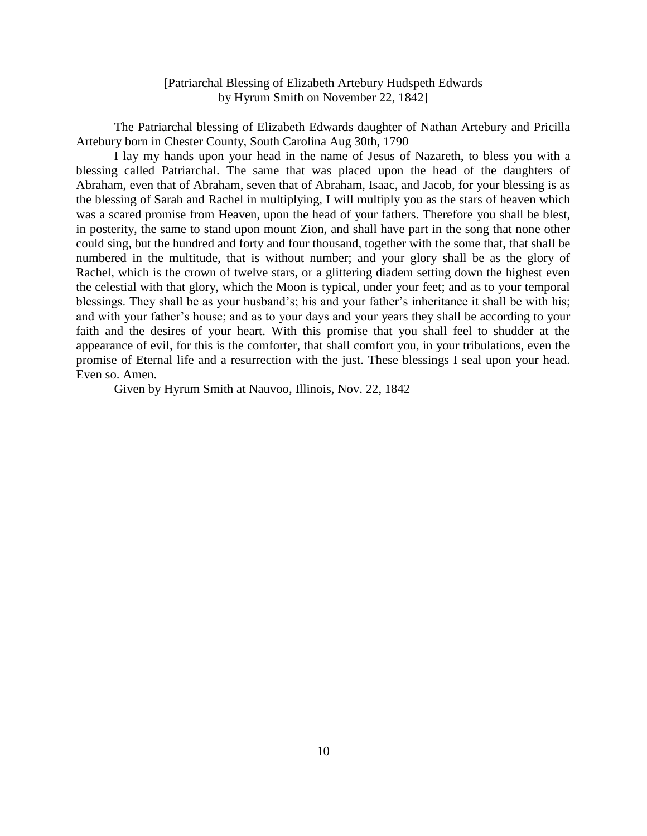# [Patriarchal Blessing of Elizabeth Artebury Hudspeth Edwards by Hyrum Smith on November 22, 1842]

The Patriarchal blessing of Elizabeth Edwards daughter of Nathan Artebury and Pricilla Artebury born in Chester County, South Carolina Aug 30th, 1790

I lay my hands upon your head in the name of Jesus of Nazareth, to bless you with a blessing called Patriarchal. The same that was placed upon the head of the daughters of Abraham, even that of Abraham, seven that of Abraham, Isaac, and Jacob, for your blessing is as the blessing of Sarah and Rachel in multiplying, I will multiply you as the stars of heaven which was a scared promise from Heaven, upon the head of your fathers. Therefore you shall be blest, in posterity, the same to stand upon mount Zion, and shall have part in the song that none other could sing, but the hundred and forty and four thousand, together with the some that, that shall be numbered in the multitude, that is without number; and your glory shall be as the glory of Rachel, which is the crown of twelve stars, or a glittering diadem setting down the highest even the celestial with that glory, which the Moon is typical, under your feet; and as to your temporal blessings. They shall be as your husband's; his and your father's inheritance it shall be with his; and with your father's house; and as to your days and your years they shall be according to your faith and the desires of your heart. With this promise that you shall feel to shudder at the appearance of evil, for this is the comforter, that shall comfort you, in your tribulations, even the promise of Eternal life and a resurrection with the just. These blessings I seal upon your head. Even so. Amen.

Given by Hyrum Smith at Nauvoo, Illinois, Nov. 22, 1842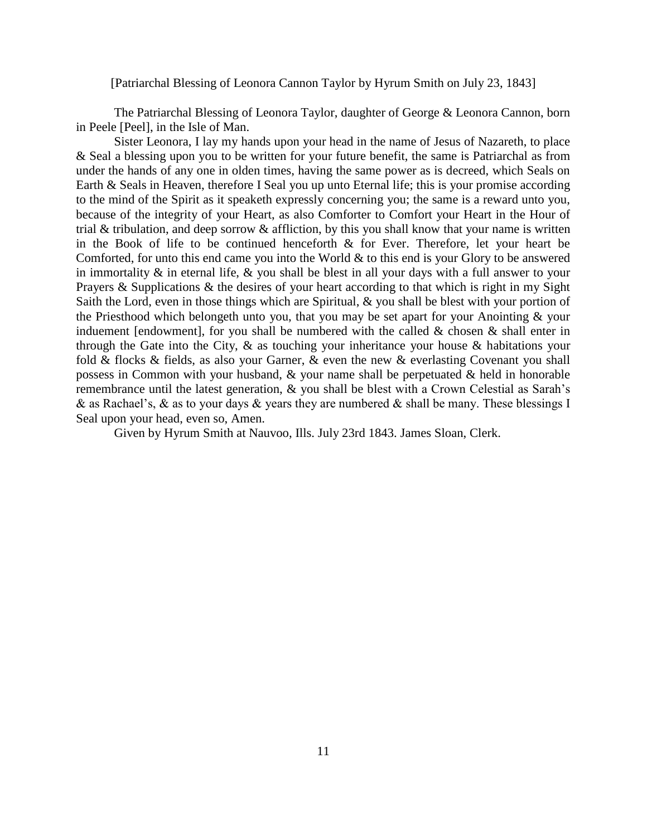## [Patriarchal Blessing of Leonora Cannon Taylor by Hyrum Smith on July 23, 1843]

The Patriarchal Blessing of Leonora Taylor, daughter of George & Leonora Cannon, born in Peele [Peel], in the Isle of Man.

Sister Leonora, I lay my hands upon your head in the name of Jesus of Nazareth, to place & Seal a blessing upon you to be written for your future benefit, the same is Patriarchal as from under the hands of any one in olden times, having the same power as is decreed, which Seals on Earth & Seals in Heaven, therefore I Seal you up unto Eternal life; this is your promise according to the mind of the Spirit as it speaketh expressly concerning you; the same is a reward unto you, because of the integrity of your Heart, as also Comforter to Comfort your Heart in the Hour of trial & tribulation, and deep sorrow & affliction, by this you shall know that your name is written in the Book of life to be continued henceforth & for Ever. Therefore, let your heart be Comforted, for unto this end came you into the World & to this end is your Glory to be answered in immortality  $\&$  in eternal life,  $\&$  you shall be blest in all your days with a full answer to your Prayers & Supplications & the desires of your heart according to that which is right in my Sight Saith the Lord, even in those things which are Spiritual, & you shall be blest with your portion of the Priesthood which belongeth unto you, that you may be set apart for your Anointing & your induement [endowment], for you shall be numbered with the called  $\&$  chosen  $\&$  shall enter in through the Gate into the City, & as touching your inheritance your house & habitations your fold & flocks & fields, as also your Garner, & even the new & everlasting Covenant you shall possess in Common with your husband,  $\&$  your name shall be perpetuated  $\&$  held in honorable remembrance until the latest generation, & you shall be blest with a Crown Celestial as Sarah's & as Rachael's, & as to your days & years they are numbered & shall be many. These blessings I Seal upon your head, even so, Amen.

Given by Hyrum Smith at Nauvoo, Ills. July 23rd 1843. James Sloan, Clerk.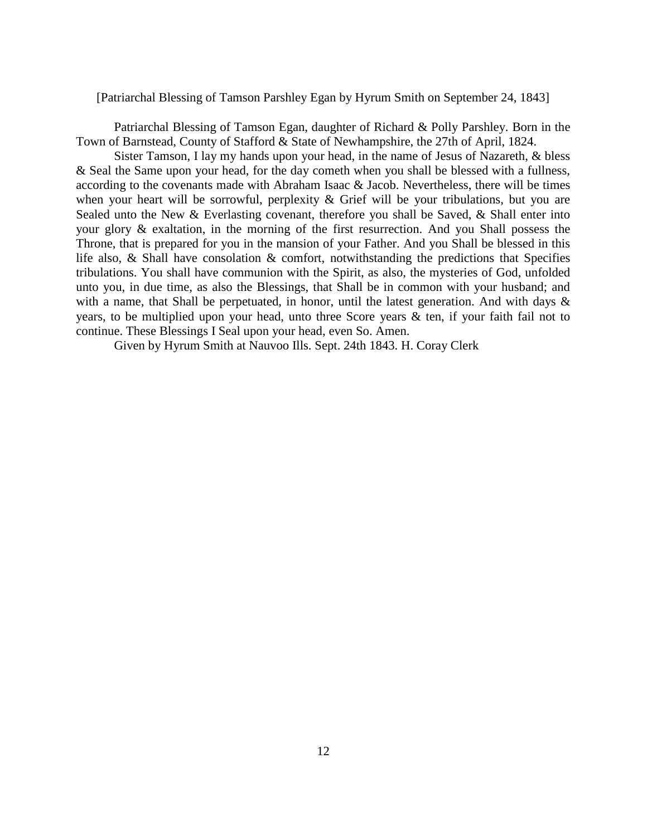### [Patriarchal Blessing of Tamson Parshley Egan by Hyrum Smith on September 24, 1843]

Patriarchal Blessing of Tamson Egan, daughter of Richard & Polly Parshley. Born in the Town of Barnstead, County of Stafford & State of Newhampshire, the 27th of April, 1824.

Sister Tamson, I lay my hands upon your head, in the name of Jesus of Nazareth, & bless & Seal the Same upon your head, for the day cometh when you shall be blessed with a fullness, according to the covenants made with Abraham Isaac & Jacob. Nevertheless, there will be times when your heart will be sorrowful, perplexity  $\&$  Grief will be your tribulations, but you are Sealed unto the New & Everlasting covenant, therefore you shall be Saved, & Shall enter into your glory & exaltation, in the morning of the first resurrection. And you Shall possess the Throne, that is prepared for you in the mansion of your Father. And you Shall be blessed in this life also, & Shall have consolation & comfort, notwithstanding the predictions that Specifies tribulations. You shall have communion with the Spirit, as also, the mysteries of God, unfolded unto you, in due time, as also the Blessings, that Shall be in common with your husband; and with a name, that Shall be perpetuated, in honor, until the latest generation. And with days & years, to be multiplied upon your head, unto three Score years & ten, if your faith fail not to continue. These Blessings I Seal upon your head, even So. Amen.

Given by Hyrum Smith at Nauvoo Ills. Sept. 24th 1843. H. Coray Clerk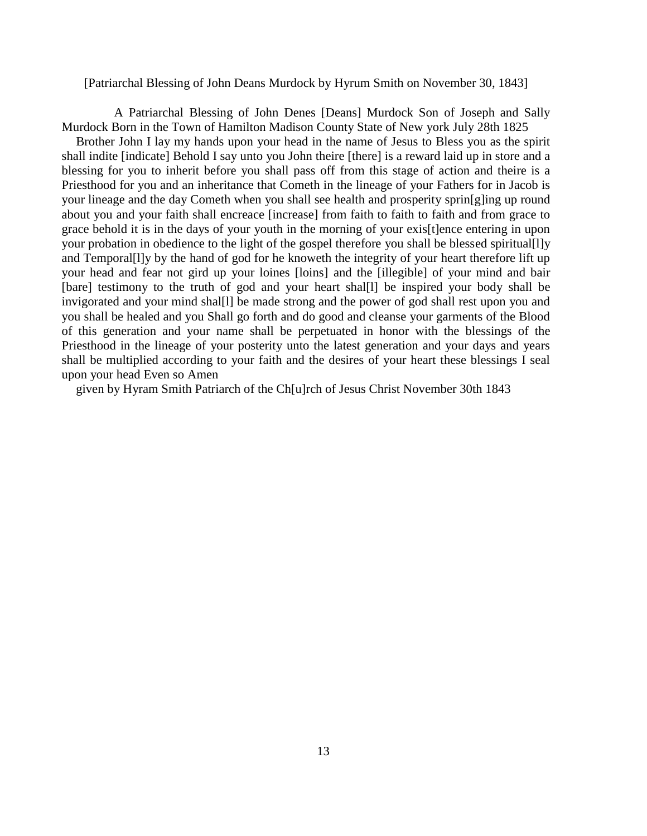[Patriarchal Blessing of John Deans Murdock by Hyrum Smith on November 30, 1843]

A Patriarchal Blessing of John Denes [Deans] Murdock Son of Joseph and Sally Murdock Born in the Town of Hamilton Madison County State of New york July 28th 1825

Brother John I lay my hands upon your head in the name of Jesus to Bless you as the spirit shall indite [indicate] Behold I say unto you John theire [there] is a reward laid up in store and a blessing for you to inherit before you shall pass off from this stage of action and theire is a Priesthood for you and an inheritance that Cometh in the lineage of your Fathers for in Jacob is your lineage and the day Cometh when you shall see health and prosperity sprin[g]ing up round about you and your faith shall encreace [increase] from faith to faith to faith and from grace to grace behold it is in the days of your youth in the morning of your exis[t]ence entering in upon your probation in obedience to the light of the gospel therefore you shall be blessed spiritual[l]y and Temporal[l]y by the hand of god for he knoweth the integrity of your heart therefore lift up your head and fear not gird up your loines [loins] and the [illegible] of your mind and bair [bare] testimony to the truth of god and your heart shal[1] be inspired your body shall be invigorated and your mind shal[l] be made strong and the power of god shall rest upon you and you shall be healed and you Shall go forth and do good and cleanse your garments of the Blood of this generation and your name shall be perpetuated in honor with the blessings of the Priesthood in the lineage of your posterity unto the latest generation and your days and years shall be multiplied according to your faith and the desires of your heart these blessings I seal upon your head Even so Amen

given by Hyram Smith Patriarch of the Ch[u]rch of Jesus Christ November 30th 1843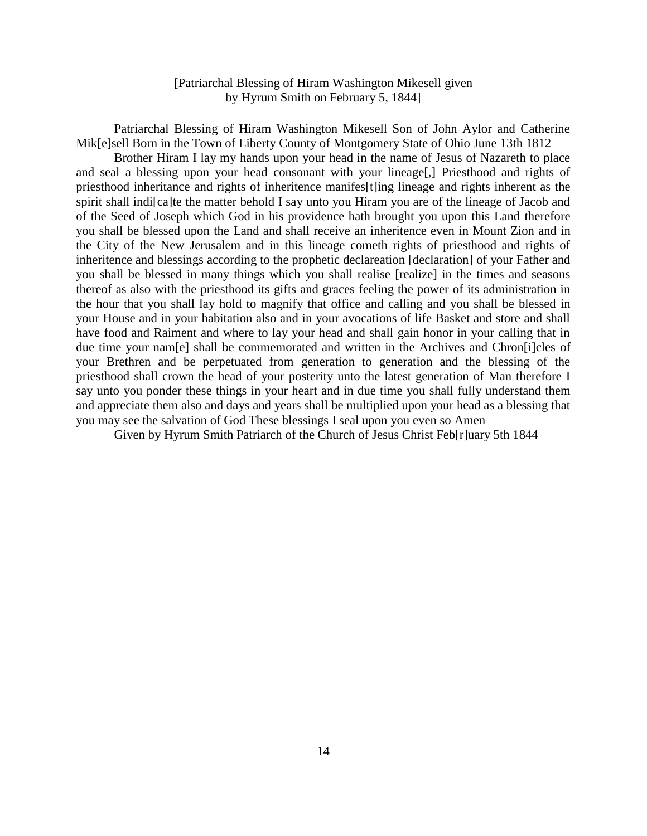# [Patriarchal Blessing of Hiram Washington Mikesell given by Hyrum Smith on February 5, 1844]

Patriarchal Blessing of Hiram Washington Mikesell Son of John Aylor and Catherine Mik[e]sell Born in the Town of Liberty County of Montgomery State of Ohio June 13th 1812

Brother Hiram I lay my hands upon your head in the name of Jesus of Nazareth to place and seal a blessing upon your head consonant with your lineage[,] Priesthood and rights of priesthood inheritance and rights of inheritence manifes[t]ing lineage and rights inherent as the spirit shall indi[ca]te the matter behold I say unto you Hiram you are of the lineage of Jacob and of the Seed of Joseph which God in his providence hath brought you upon this Land therefore you shall be blessed upon the Land and shall receive an inheritence even in Mount Zion and in the City of the New Jerusalem and in this lineage cometh rights of priesthood and rights of inheritence and blessings according to the prophetic declareation [declaration] of your Father and you shall be blessed in many things which you shall realise [realize] in the times and seasons thereof as also with the priesthood its gifts and graces feeling the power of its administration in the hour that you shall lay hold to magnify that office and calling and you shall be blessed in your House and in your habitation also and in your avocations of life Basket and store and shall have food and Raiment and where to lay your head and shall gain honor in your calling that in due time your nam[e] shall be commemorated and written in the Archives and Chron[i]cles of your Brethren and be perpetuated from generation to generation and the blessing of the priesthood shall crown the head of your posterity unto the latest generation of Man therefore I say unto you ponder these things in your heart and in due time you shall fully understand them and appreciate them also and days and years shall be multiplied upon your head as a blessing that you may see the salvation of God These blessings I seal upon you even so Amen

Given by Hyrum Smith Patriarch of the Church of Jesus Christ Feb[r]uary 5th 1844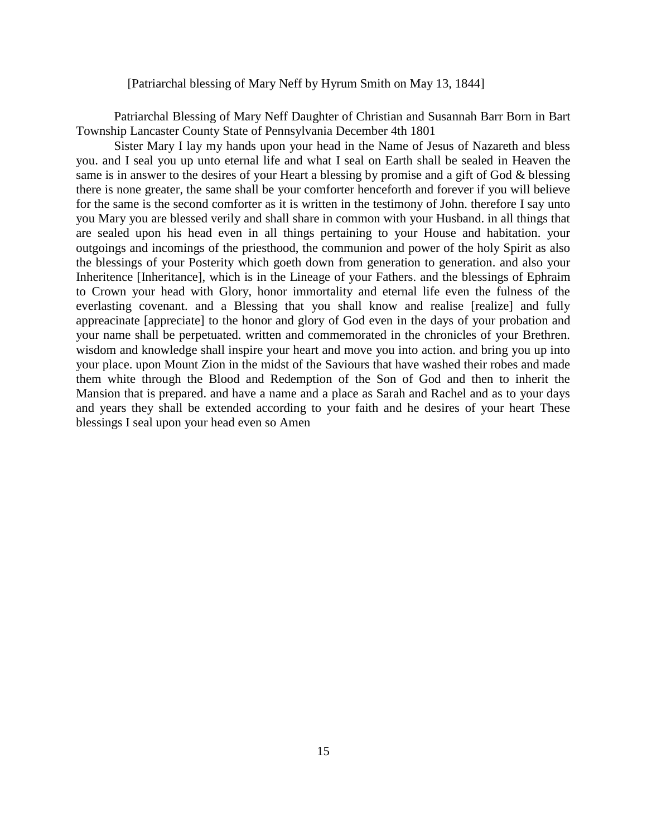### [Patriarchal blessing of Mary Neff by Hyrum Smith on May 13, 1844]

Patriarchal Blessing of Mary Neff Daughter of Christian and Susannah Barr Born in Bart Township Lancaster County State of Pennsylvania December 4th 1801

Sister Mary I lay my hands upon your head in the Name of Jesus of Nazareth and bless you. and I seal you up unto eternal life and what I seal on Earth shall be sealed in Heaven the same is in answer to the desires of your Heart a blessing by promise and a gift of God & blessing there is none greater, the same shall be your comforter henceforth and forever if you will believe for the same is the second comforter as it is written in the testimony of John. therefore I say unto you Mary you are blessed verily and shall share in common with your Husband. in all things that are sealed upon his head even in all things pertaining to your House and habitation. your outgoings and incomings of the priesthood, the communion and power of the holy Spirit as also the blessings of your Posterity which goeth down from generation to generation. and also your Inheritence [Inheritance], which is in the Lineage of your Fathers. and the blessings of Ephraim to Crown your head with Glory, honor immortality and eternal life even the fulness of the everlasting covenant. and a Blessing that you shall know and realise [realize] and fully appreacinate [appreciate] to the honor and glory of God even in the days of your probation and your name shall be perpetuated. written and commemorated in the chronicles of your Brethren. wisdom and knowledge shall inspire your heart and move you into action. and bring you up into your place. upon Mount Zion in the midst of the Saviours that have washed their robes and made them white through the Blood and Redemption of the Son of God and then to inherit the Mansion that is prepared. and have a name and a place as Sarah and Rachel and as to your days and years they shall be extended according to your faith and he desires of your heart These blessings I seal upon your head even so Amen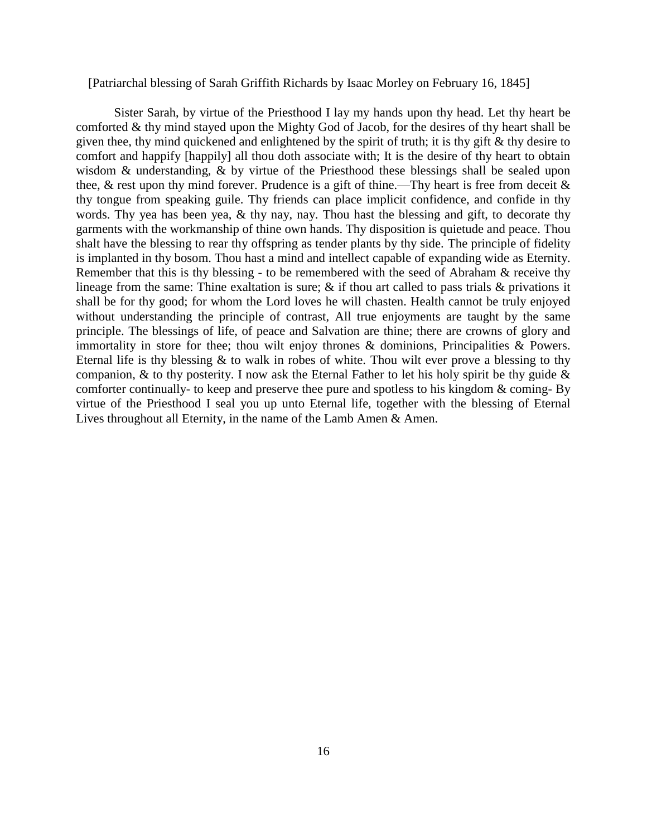[Patriarchal blessing of Sarah Griffith Richards by Isaac Morley on February 16, 1845]

Sister Sarah, by virtue of the Priesthood I lay my hands upon thy head. Let thy heart be comforted & thy mind stayed upon the Mighty God of Jacob, for the desires of thy heart shall be given thee, thy mind quickened and enlightened by the spirit of truth; it is thy gift & thy desire to comfort and happify [happily] all thou doth associate with; It is the desire of thy heart to obtain wisdom & understanding, & by virtue of the Priesthood these blessings shall be sealed upon thee,  $\&$  rest upon thy mind forever. Prudence is a gift of thine.—Thy heart is free from deceit  $\&$ thy tongue from speaking guile. Thy friends can place implicit confidence, and confide in thy words. Thy yea has been yea, & thy nay, nay. Thou hast the blessing and gift, to decorate thy garments with the workmanship of thine own hands. Thy disposition is quietude and peace. Thou shalt have the blessing to rear thy offspring as tender plants by thy side. The principle of fidelity is implanted in thy bosom. Thou hast a mind and intellect capable of expanding wide as Eternity. Remember that this is thy blessing - to be remembered with the seed of Abraham & receive thy lineage from the same: Thine exaltation is sure;  $\&$  if thou art called to pass trials  $\&$  privations it shall be for thy good; for whom the Lord loves he will chasten. Health cannot be truly enjoyed without understanding the principle of contrast, All true enjoyments are taught by the same principle. The blessings of life, of peace and Salvation are thine; there are crowns of glory and immortality in store for thee; thou wilt enjoy thrones & dominions, Principalities & Powers. Eternal life is thy blessing  $&$  to walk in robes of white. Thou wilt ever prove a blessing to thy companion,  $\&$  to thy posterity. I now ask the Eternal Father to let his holy spirit be thy guide  $\&$ comforter continually- to keep and preserve thee pure and spotless to his kingdom & coming- By virtue of the Priesthood I seal you up unto Eternal life, together with the blessing of Eternal Lives throughout all Eternity, in the name of the Lamb Amen & Amen.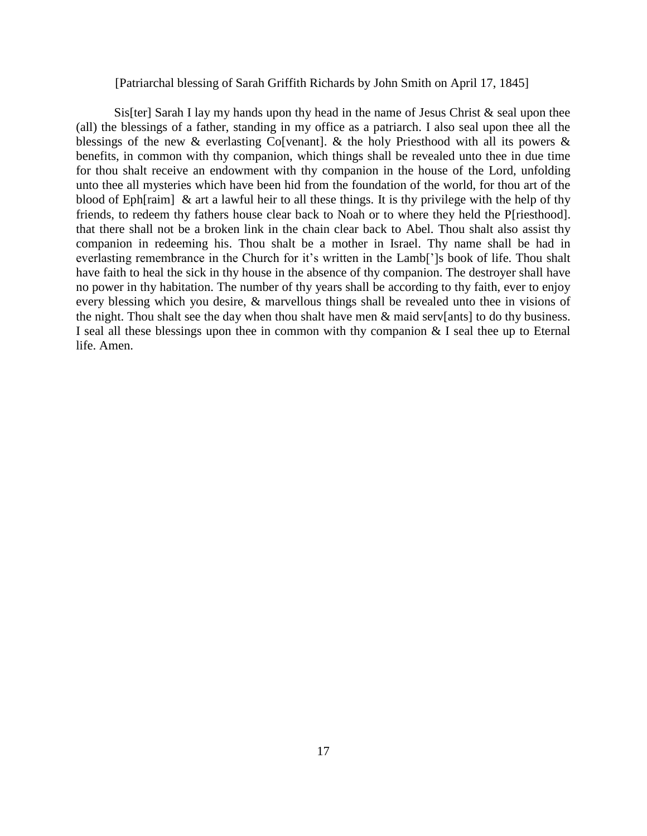### [Patriarchal blessing of Sarah Griffith Richards by John Smith on April 17, 1845]

Sis[ter] Sarah I lay my hands upon thy head in the name of Jesus Christ  $\&$  seal upon thee (all) the blessings of a father, standing in my office as a patriarch. I also seal upon thee all the blessings of the new  $\&$  everlasting Co[venant].  $\&$  the holy Priesthood with all its powers  $\&$ benefits, in common with thy companion, which things shall be revealed unto thee in due time for thou shalt receive an endowment with thy companion in the house of the Lord, unfolding unto thee all mysteries which have been hid from the foundation of the world, for thou art of the blood of Eph[raim] & art a lawful heir to all these things. It is thy privilege with the help of thy friends, to redeem thy fathers house clear back to Noah or to where they held the P[riesthood]. that there shall not be a broken link in the chain clear back to Abel. Thou shalt also assist thy companion in redeeming his. Thou shalt be a mother in Israel. Thy name shall be had in everlasting remembrance in the Church for it's written in the Lamb[']s book of life. Thou shalt have faith to heal the sick in thy house in the absence of thy companion. The destroyer shall have no power in thy habitation. The number of thy years shall be according to thy faith, ever to enjoy every blessing which you desire, & marvellous things shall be revealed unto thee in visions of the night. Thou shalt see the day when thou shalt have men & maid serv[ants] to do thy business. I seal all these blessings upon thee in common with thy companion & I seal thee up to Eternal life. Amen.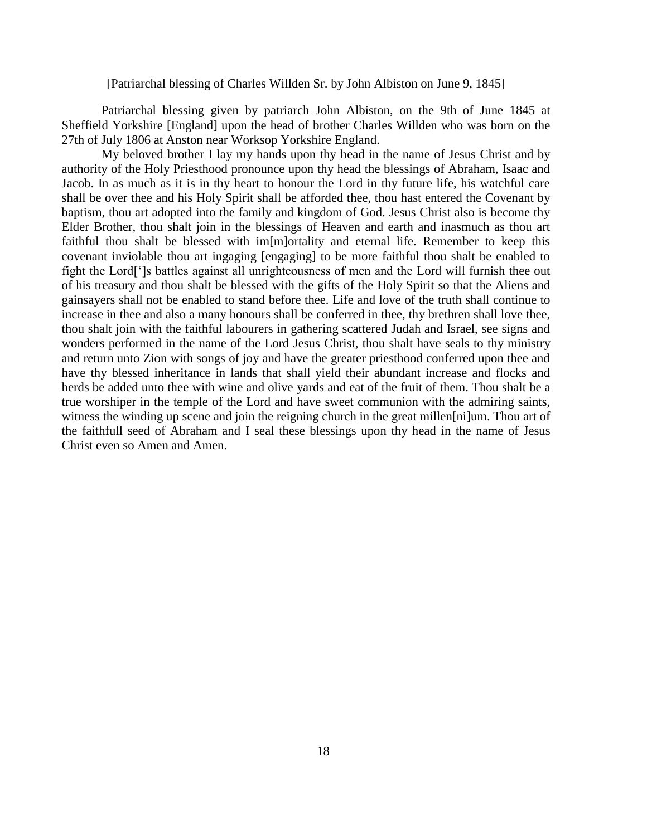### [Patriarchal blessing of Charles Willden Sr. by John Albiston on June 9, 1845]

 Patriarchal blessing given by patriarch John Albiston, on the 9th of June 1845 at Sheffield Yorkshire [England] upon the head of brother Charles Willden who was born on the 27th of July 1806 at Anston near Worksop Yorkshire England.

 My beloved brother I lay my hands upon thy head in the name of Jesus Christ and by authority of the Holy Priesthood pronounce upon thy head the blessings of Abraham, Isaac and Jacob. In as much as it is in thy heart to honour the Lord in thy future life, his watchful care shall be over thee and his Holy Spirit shall be afforded thee, thou hast entered the Covenant by baptism, thou art adopted into the family and kingdom of God. Jesus Christ also is become thy Elder Brother, thou shalt join in the blessings of Heaven and earth and inasmuch as thou art faithful thou shalt be blessed with im[m]ortality and eternal life. Remember to keep this covenant inviolable thou art ingaging [engaging] to be more faithful thou shalt be enabled to fight the Lord[']s battles against all unrighteousness of men and the Lord will furnish thee out of his treasury and thou shalt be blessed with the gifts of the Holy Spirit so that the Aliens and gainsayers shall not be enabled to stand before thee. Life and love of the truth shall continue to increase in thee and also a many honours shall be conferred in thee, thy brethren shall love thee, thou shalt join with the faithful labourers in gathering scattered Judah and Israel, see signs and wonders performed in the name of the Lord Jesus Christ, thou shalt have seals to thy ministry and return unto Zion with songs of joy and have the greater priesthood conferred upon thee and have thy blessed inheritance in lands that shall yield their abundant increase and flocks and herds be added unto thee with wine and olive yards and eat of the fruit of them. Thou shalt be a true worshiper in the temple of the Lord and have sweet communion with the admiring saints, witness the winding up scene and join the reigning church in the great millen[ni]um. Thou art of the faithfull seed of Abraham and I seal these blessings upon thy head in the name of Jesus Christ even so Amen and Amen.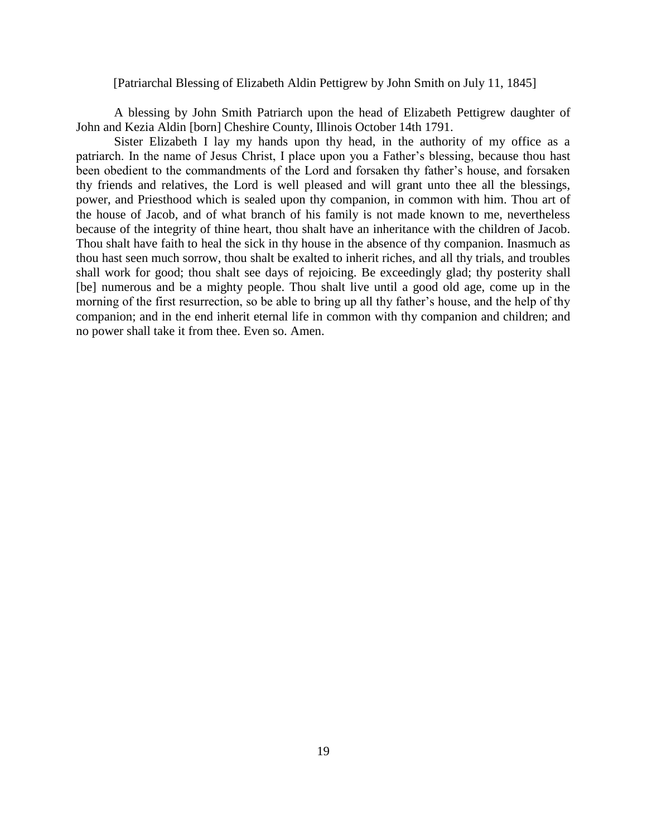#### [Patriarchal Blessing of Elizabeth Aldin Pettigrew by John Smith on July 11, 1845]

A blessing by John Smith Patriarch upon the head of Elizabeth Pettigrew daughter of John and Kezia Aldin [born] Cheshire County, Illinois October 14th 1791.

Sister Elizabeth I lay my hands upon thy head, in the authority of my office as a patriarch. In the name of Jesus Christ, I place upon you a Father's blessing, because thou hast been obedient to the commandments of the Lord and forsaken thy father's house, and forsaken thy friends and relatives, the Lord is well pleased and will grant unto thee all the blessings, power, and Priesthood which is sealed upon thy companion, in common with him. Thou art of the house of Jacob, and of what branch of his family is not made known to me, nevertheless because of the integrity of thine heart, thou shalt have an inheritance with the children of Jacob. Thou shalt have faith to heal the sick in thy house in the absence of thy companion. Inasmuch as thou hast seen much sorrow, thou shalt be exalted to inherit riches, and all thy trials, and troubles shall work for good; thou shalt see days of rejoicing. Be exceedingly glad; thy posterity shall [be] numerous and be a mighty people. Thou shalt live until a good old age, come up in the morning of the first resurrection, so be able to bring up all thy father's house, and the help of thy companion; and in the end inherit eternal life in common with thy companion and children; and no power shall take it from thee. Even so. Amen.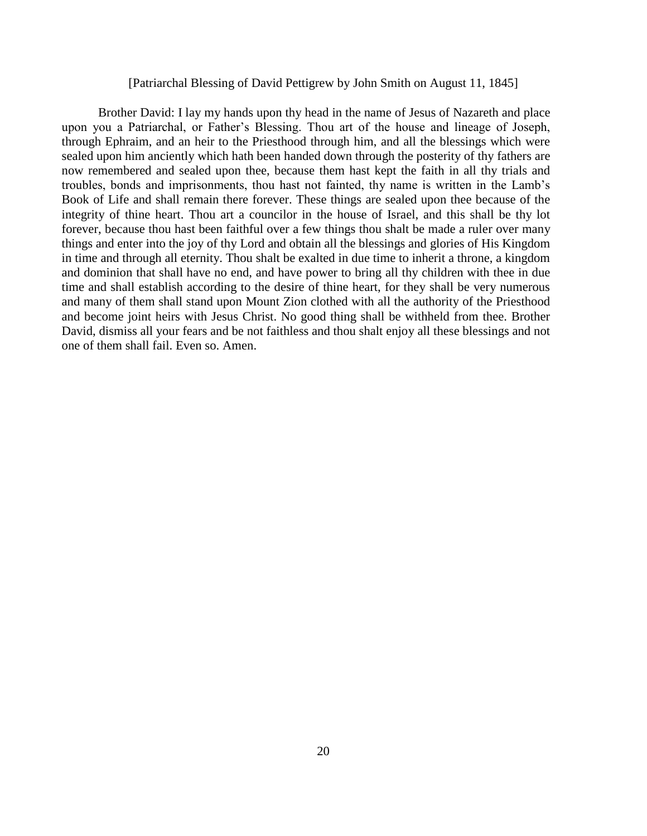#### [Patriarchal Blessing of David Pettigrew by John Smith on August 11, 1845]

 Brother David: I lay my hands upon thy head in the name of Jesus of Nazareth and place upon you a Patriarchal, or Father's Blessing. Thou art of the house and lineage of Joseph, through Ephraim, and an heir to the Priesthood through him, and all the blessings which were sealed upon him anciently which hath been handed down through the posterity of thy fathers are now remembered and sealed upon thee, because them hast kept the faith in all thy trials and troubles, bonds and imprisonments, thou hast not fainted, thy name is written in the Lamb's Book of Life and shall remain there forever. These things are sealed upon thee because of the integrity of thine heart. Thou art a councilor in the house of Israel, and this shall be thy lot forever, because thou hast been faithful over a few things thou shalt be made a ruler over many things and enter into the joy of thy Lord and obtain all the blessings and glories of His Kingdom in time and through all eternity. Thou shalt be exalted in due time to inherit a throne, a kingdom and dominion that shall have no end, and have power to bring all thy children with thee in due time and shall establish according to the desire of thine heart, for they shall be very numerous and many of them shall stand upon Mount Zion clothed with all the authority of the Priesthood and become joint heirs with Jesus Christ. No good thing shall be withheld from thee. Brother David, dismiss all your fears and be not faithless and thou shalt enjoy all these blessings and not one of them shall fail. Even so. Amen.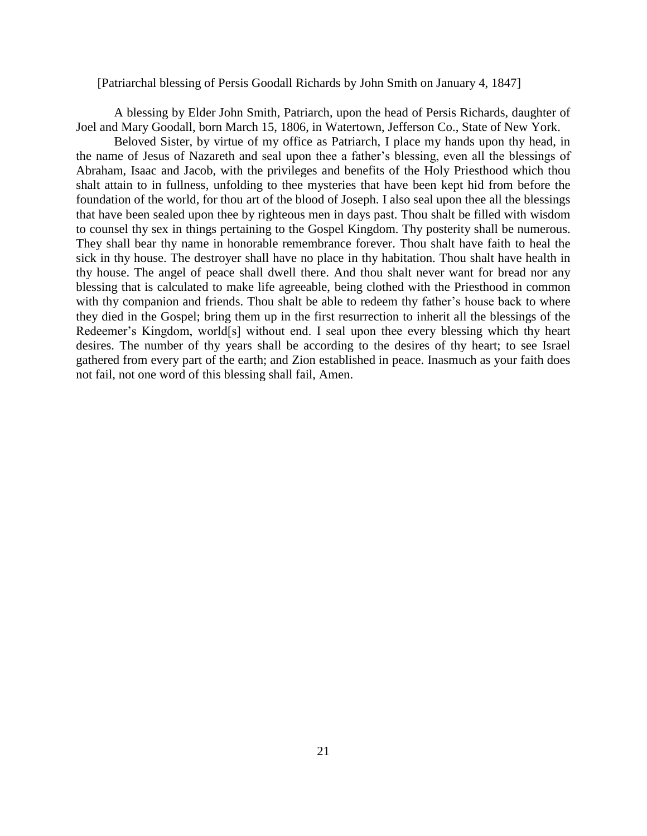#### [Patriarchal blessing of Persis Goodall Richards by John Smith on January 4, 1847]

A blessing by Elder John Smith, Patriarch, upon the head of Persis Richards, daughter of Joel and Mary Goodall, born March 15, 1806, in Watertown, Jefferson Co., State of New York.

Beloved Sister, by virtue of my office as Patriarch, I place my hands upon thy head, in the name of Jesus of Nazareth and seal upon thee a father's blessing, even all the blessings of Abraham, Isaac and Jacob, with the privileges and benefits of the Holy Priesthood which thou shalt attain to in fullness, unfolding to thee mysteries that have been kept hid from before the foundation of the world, for thou art of the blood of Joseph. I also seal upon thee all the blessings that have been sealed upon thee by righteous men in days past. Thou shalt be filled with wisdom to counsel thy sex in things pertaining to the Gospel Kingdom. Thy posterity shall be numerous. They shall bear thy name in honorable remembrance forever. Thou shalt have faith to heal the sick in thy house. The destroyer shall have no place in thy habitation. Thou shalt have health in thy house. The angel of peace shall dwell there. And thou shalt never want for bread nor any blessing that is calculated to make life agreeable, being clothed with the Priesthood in common with thy companion and friends. Thou shalt be able to redeem thy father's house back to where they died in the Gospel; bring them up in the first resurrection to inherit all the blessings of the Redeemer's Kingdom, world[s] without end. I seal upon thee every blessing which thy heart desires. The number of thy years shall be according to the desires of thy heart; to see Israel gathered from every part of the earth; and Zion established in peace. Inasmuch as your faith does not fail, not one word of this blessing shall fail, Amen.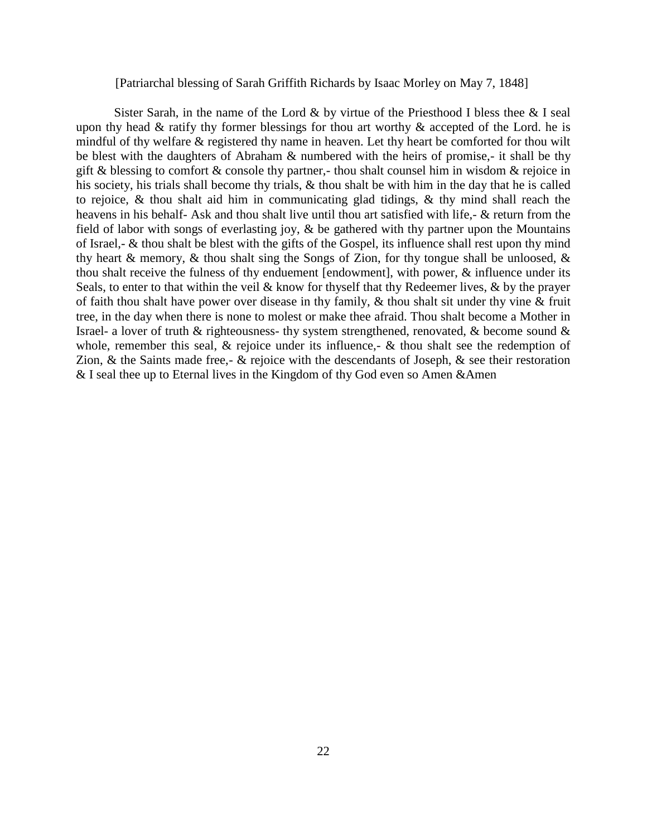### [Patriarchal blessing of Sarah Griffith Richards by Isaac Morley on May 7, 1848]

Sister Sarah, in the name of the Lord  $\&$  by virtue of the Priesthood I bless thee  $\&$  I seal upon thy head  $&$  ratify thy former blessings for thou art worthy  $&$  accepted of the Lord. he is mindful of thy welfare & registered thy name in heaven. Let thy heart be comforted for thou wilt be blest with the daughters of Abraham & numbered with the heirs of promise,- it shall be thy gift & blessing to comfort & console thy partner,- thou shalt counsel him in wisdom & rejoice in his society, his trials shall become thy trials, & thou shalt be with him in the day that he is called to rejoice, & thou shalt aid him in communicating glad tidings, & thy mind shall reach the heavens in his behalf- Ask and thou shalt live until thou art satisfied with life,- & return from the field of labor with songs of everlasting joy, & be gathered with thy partner upon the Mountains of Israel,- & thou shalt be blest with the gifts of the Gospel, its influence shall rest upon thy mind thy heart  $\&$  memory,  $\&$  thou shalt sing the Songs of Zion, for thy tongue shall be unloosed,  $\&$ thou shalt receive the fulness of thy enduement [endowment], with power, & influence under its Seals, to enter to that within the veil  $\&$  know for thyself that thy Redeemer lives,  $\&$  by the prayer of faith thou shalt have power over disease in thy family, & thou shalt sit under thy vine & fruit tree, in the day when there is none to molest or make thee afraid. Thou shalt become a Mother in Israel- a lover of truth & righteousness- thy system strengthened, renovated, & become sound & whole, remember this seal,  $\&$  rejoice under its influence,-  $\&$  thou shalt see the redemption of Zion,  $\&$  the Saints made free,-  $\&$  rejoice with the descendants of Joseph,  $\&$  see their restoration & I seal thee up to Eternal lives in the Kingdom of thy God even so Amen &Amen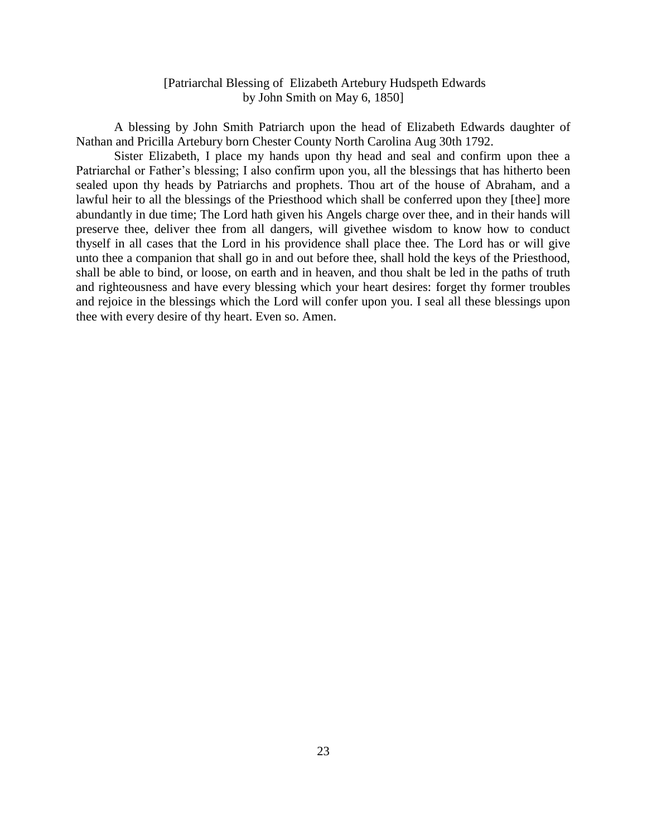# [Patriarchal Blessing of Elizabeth Artebury Hudspeth Edwards by John Smith on May 6, 1850]

A blessing by John Smith Patriarch upon the head of Elizabeth Edwards daughter of Nathan and Pricilla Artebury born Chester County North Carolina Aug 30th 1792.

Sister Elizabeth, I place my hands upon thy head and seal and confirm upon thee a Patriarchal or Father's blessing; I also confirm upon you, all the blessings that has hitherto been sealed upon thy heads by Patriarchs and prophets. Thou art of the house of Abraham, and a lawful heir to all the blessings of the Priesthood which shall be conferred upon they [thee] more abundantly in due time; The Lord hath given his Angels charge over thee, and in their hands will preserve thee, deliver thee from all dangers, will givethee wisdom to know how to conduct thyself in all cases that the Lord in his providence shall place thee. The Lord has or will give unto thee a companion that shall go in and out before thee, shall hold the keys of the Priesthood, shall be able to bind, or loose, on earth and in heaven, and thou shalt be led in the paths of truth and righteousness and have every blessing which your heart desires: forget thy former troubles and rejoice in the blessings which the Lord will confer upon you. I seal all these blessings upon thee with every desire of thy heart. Even so. Amen.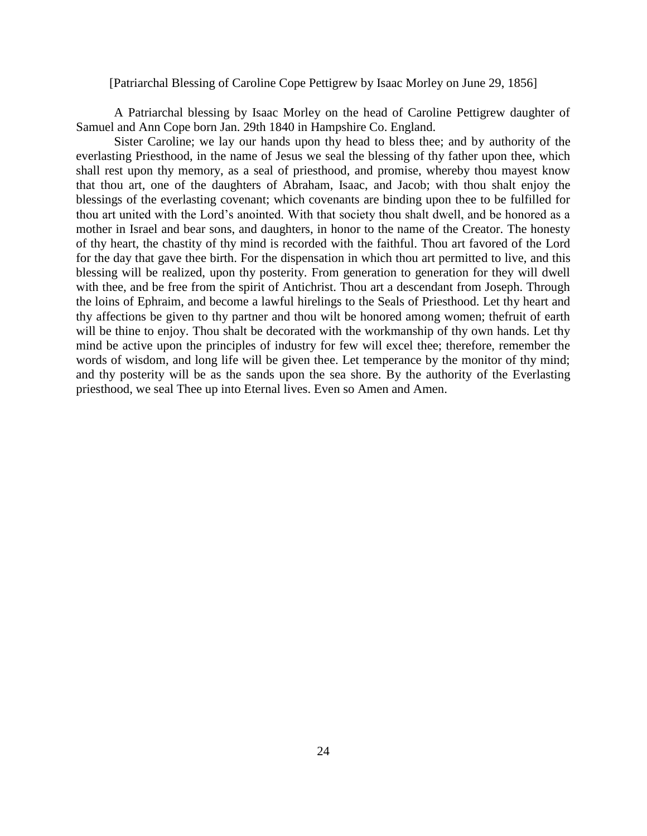## [Patriarchal Blessing of Caroline Cope Pettigrew by Isaac Morley on June 29, 1856]

A Patriarchal blessing by Isaac Morley on the head of Caroline Pettigrew daughter of Samuel and Ann Cope born Jan. 29th 1840 in Hampshire Co. England.

Sister Caroline; we lay our hands upon thy head to bless thee; and by authority of the everlasting Priesthood, in the name of Jesus we seal the blessing of thy father upon thee, which shall rest upon thy memory, as a seal of priesthood, and promise, whereby thou mayest know that thou art, one of the daughters of Abraham, Isaac, and Jacob; with thou shalt enjoy the blessings of the everlasting covenant; which covenants are binding upon thee to be fulfilled for thou art united with the Lord's anointed. With that society thou shalt dwell, and be honored as a mother in Israel and bear sons, and daughters, in honor to the name of the Creator. The honesty of thy heart, the chastity of thy mind is recorded with the faithful. Thou art favored of the Lord for the day that gave thee birth. For the dispensation in which thou art permitted to live, and this blessing will be realized, upon thy posterity. From generation to generation for they will dwell with thee, and be free from the spirit of Antichrist. Thou art a descendant from Joseph. Through the loins of Ephraim, and become a lawful hirelings to the Seals of Priesthood. Let thy heart and thy affections be given to thy partner and thou wilt be honored among women; thefruit of earth will be thine to enjoy. Thou shalt be decorated with the workmanship of thy own hands. Let thy mind be active upon the principles of industry for few will excel thee; therefore, remember the words of wisdom, and long life will be given thee. Let temperance by the monitor of thy mind; and thy posterity will be as the sands upon the sea shore. By the authority of the Everlasting priesthood, we seal Thee up into Eternal lives. Even so Amen and Amen.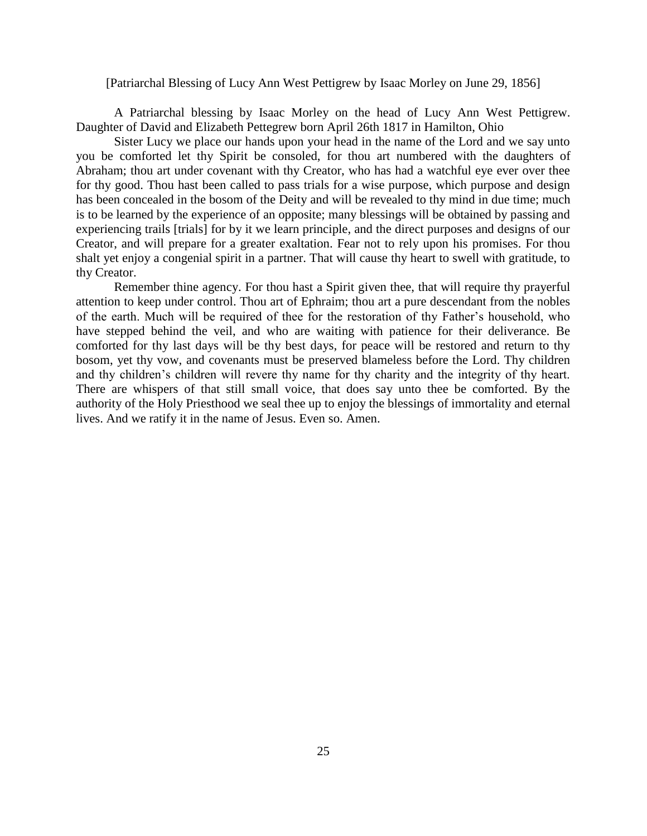[Patriarchal Blessing of Lucy Ann West Pettigrew by Isaac Morley on June 29, 1856]

A Patriarchal blessing by Isaac Morley on the head of Lucy Ann West Pettigrew. Daughter of David and Elizabeth Pettegrew born April 26th 1817 in Hamilton, Ohio

Sister Lucy we place our hands upon your head in the name of the Lord and we say unto you be comforted let thy Spirit be consoled, for thou art numbered with the daughters of Abraham; thou art under covenant with thy Creator, who has had a watchful eye ever over thee for thy good. Thou hast been called to pass trials for a wise purpose, which purpose and design has been concealed in the bosom of the Deity and will be revealed to thy mind in due time; much is to be learned by the experience of an opposite; many blessings will be obtained by passing and experiencing trails [trials] for by it we learn principle, and the direct purposes and designs of our Creator, and will prepare for a greater exaltation. Fear not to rely upon his promises. For thou shalt yet enjoy a congenial spirit in a partner. That will cause thy heart to swell with gratitude, to thy Creator.

Remember thine agency. For thou hast a Spirit given thee, that will require thy prayerful attention to keep under control. Thou art of Ephraim; thou art a pure descendant from the nobles of the earth. Much will be required of thee for the restoration of thy Father's household, who have stepped behind the veil, and who are waiting with patience for their deliverance. Be comforted for thy last days will be thy best days, for peace will be restored and return to thy bosom, yet thy vow, and covenants must be preserved blameless before the Lord. Thy children and thy children's children will revere thy name for thy charity and the integrity of thy heart. There are whispers of that still small voice, that does say unto thee be comforted. By the authority of the Holy Priesthood we seal thee up to enjoy the blessings of immortality and eternal lives. And we ratify it in the name of Jesus. Even so. Amen.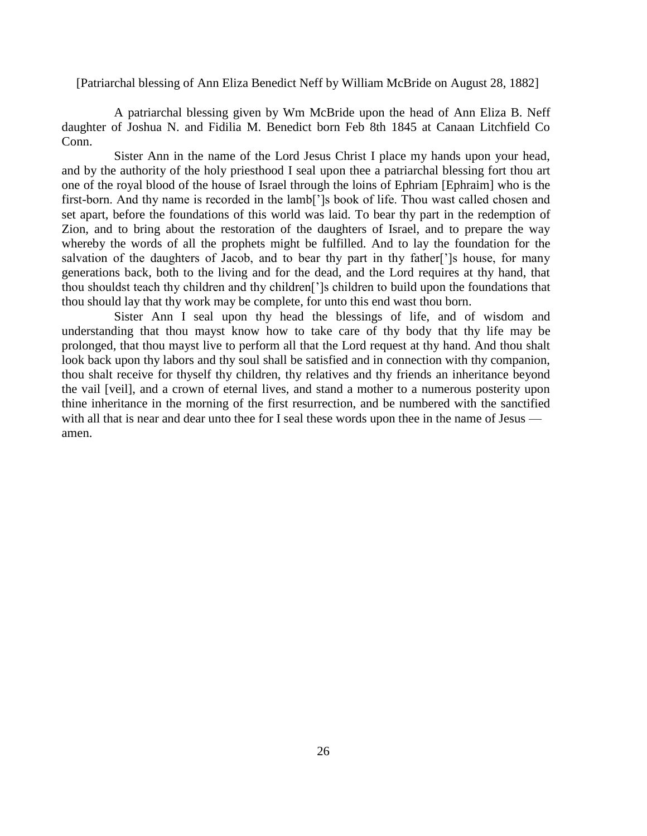[Patriarchal blessing of Ann Eliza Benedict Neff by William McBride on August 28, 1882]

A patriarchal blessing given by Wm McBride upon the head of Ann Eliza B. Neff daughter of Joshua N. and Fidilia M. Benedict born Feb 8th 1845 at Canaan Litchfield Co Conn.

Sister Ann in the name of the Lord Jesus Christ I place my hands upon your head, and by the authority of the holy priesthood I seal upon thee a patriarchal blessing fort thou art one of the royal blood of the house of Israel through the loins of Ephriam [Ephraim] who is the first-born. And thy name is recorded in the lamb[']s book of life. Thou wast called chosen and set apart, before the foundations of this world was laid. To bear thy part in the redemption of Zion, and to bring about the restoration of the daughters of Israel, and to prepare the way whereby the words of all the prophets might be fulfilled. And to lay the foundation for the salvation of the daughters of Jacob, and to bear thy part in thy father<sup>[']</sup>s house, for many generations back, both to the living and for the dead, and the Lord requires at thy hand, that thou shouldst teach thy children and thy children[']s children to build upon the foundations that thou should lay that thy work may be complete, for unto this end wast thou born.

Sister Ann I seal upon thy head the blessings of life, and of wisdom and understanding that thou mayst know how to take care of thy body that thy life may be prolonged, that thou mayst live to perform all that the Lord request at thy hand. And thou shalt look back upon thy labors and thy soul shall be satisfied and in connection with thy companion, thou shalt receive for thyself thy children, thy relatives and thy friends an inheritance beyond the vail [veil], and a crown of eternal lives, and stand a mother to a numerous posterity upon thine inheritance in the morning of the first resurrection, and be numbered with the sanctified with all that is near and dear unto thee for I seal these words upon thee in the name of Jesus amen.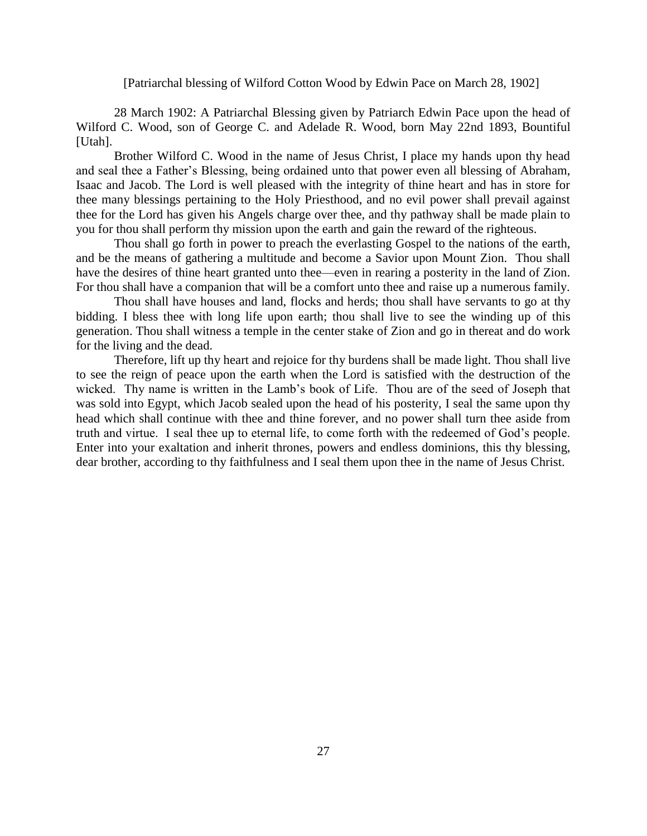[Patriarchal blessing of Wilford Cotton Wood by Edwin Pace on March 28, 1902]

28 March 1902: A Patriarchal Blessing given by Patriarch Edwin Pace upon the head of Wilford C. Wood, son of George C. and Adelade R. Wood, born May 22nd 1893, Bountiful [Utah].

Brother Wilford C. Wood in the name of Jesus Christ, I place my hands upon thy head and seal thee a Father's Blessing, being ordained unto that power even all blessing of Abraham, Isaac and Jacob. The Lord is well pleased with the integrity of thine heart and has in store for thee many blessings pertaining to the Holy Priesthood, and no evil power shall prevail against thee for the Lord has given his Angels charge over thee, and thy pathway shall be made plain to you for thou shall perform thy mission upon the earth and gain the reward of the righteous.

Thou shall go forth in power to preach the everlasting Gospel to the nations of the earth, and be the means of gathering a multitude and become a Savior upon Mount Zion. Thou shall have the desires of thine heart granted unto thee—even in rearing a posterity in the land of Zion. For thou shall have a companion that will be a comfort unto thee and raise up a numerous family.

Thou shall have houses and land, flocks and herds; thou shall have servants to go at thy bidding. I bless thee with long life upon earth; thou shall live to see the winding up of this generation. Thou shall witness a temple in the center stake of Zion and go in thereat and do work for the living and the dead.

Therefore, lift up thy heart and rejoice for thy burdens shall be made light. Thou shall live to see the reign of peace upon the earth when the Lord is satisfied with the destruction of the wicked. Thy name is written in the Lamb's book of Life. Thou are of the seed of Joseph that was sold into Egypt, which Jacob sealed upon the head of his posterity, I seal the same upon thy head which shall continue with thee and thine forever, and no power shall turn thee aside from truth and virtue. I seal thee up to eternal life, to come forth with the redeemed of God's people. Enter into your exaltation and inherit thrones, powers and endless dominions, this thy blessing, dear brother, according to thy faithfulness and I seal them upon thee in the name of Jesus Christ.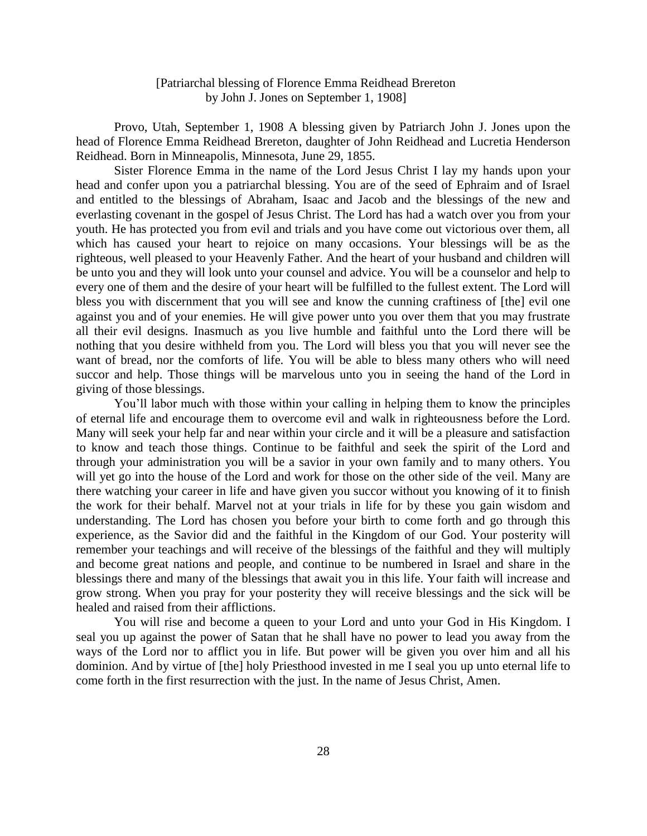# [Patriarchal blessing of Florence Emma Reidhead Brereton by John J. Jones on September 1, 1908]

Provo, Utah, September 1, 1908 A blessing given by Patriarch John J. Jones upon the head of Florence Emma Reidhead Brereton, daughter of John Reidhead and Lucretia Henderson Reidhead. Born in Minneapolis, Minnesota, June 29, 1855.

Sister Florence Emma in the name of the Lord Jesus Christ I lay my hands upon your head and confer upon you a patriarchal blessing. You are of the seed of Ephraim and of Israel and entitled to the blessings of Abraham, Isaac and Jacob and the blessings of the new and everlasting covenant in the gospel of Jesus Christ. The Lord has had a watch over you from your youth. He has protected you from evil and trials and you have come out victorious over them, all which has caused your heart to rejoice on many occasions. Your blessings will be as the righteous, well pleased to your Heavenly Father. And the heart of your husband and children will be unto you and they will look unto your counsel and advice. You will be a counselor and help to every one of them and the desire of your heart will be fulfilled to the fullest extent. The Lord will bless you with discernment that you will see and know the cunning craftiness of [the] evil one against you and of your enemies. He will give power unto you over them that you may frustrate all their evil designs. Inasmuch as you live humble and faithful unto the Lord there will be nothing that you desire withheld from you. The Lord will bless you that you will never see the want of bread, nor the comforts of life. You will be able to bless many others who will need succor and help. Those things will be marvelous unto you in seeing the hand of the Lord in giving of those blessings.

You'll labor much with those within your calling in helping them to know the principles of eternal life and encourage them to overcome evil and walk in righteousness before the Lord. Many will seek your help far and near within your circle and it will be a pleasure and satisfaction to know and teach those things. Continue to be faithful and seek the spirit of the Lord and through your administration you will be a savior in your own family and to many others. You will yet go into the house of the Lord and work for those on the other side of the veil. Many are there watching your career in life and have given you succor without you knowing of it to finish the work for their behalf. Marvel not at your trials in life for by these you gain wisdom and understanding. The Lord has chosen you before your birth to come forth and go through this experience, as the Savior did and the faithful in the Kingdom of our God. Your posterity will remember your teachings and will receive of the blessings of the faithful and they will multiply and become great nations and people, and continue to be numbered in Israel and share in the blessings there and many of the blessings that await you in this life. Your faith will increase and grow strong. When you pray for your posterity they will receive blessings and the sick will be healed and raised from their afflictions.

You will rise and become a queen to your Lord and unto your God in His Kingdom. I seal you up against the power of Satan that he shall have no power to lead you away from the ways of the Lord nor to afflict you in life. But power will be given you over him and all his dominion. And by virtue of [the] holy Priesthood invested in me I seal you up unto eternal life to come forth in the first resurrection with the just. In the name of Jesus Christ, Amen.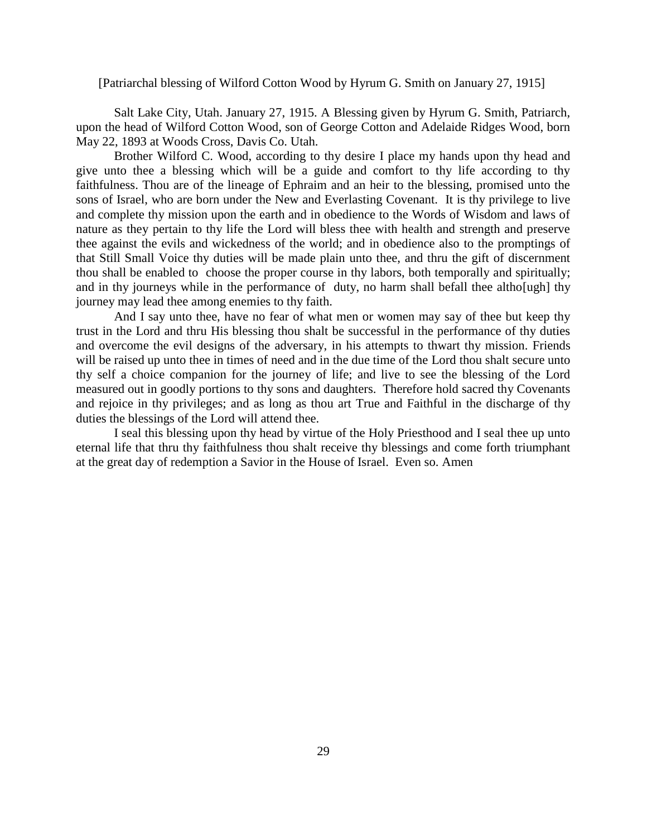#### [Patriarchal blessing of Wilford Cotton Wood by Hyrum G. Smith on January 27, 1915]

Salt Lake City, Utah. January 27, 1915. A Blessing given by Hyrum G. Smith, Patriarch, upon the head of Wilford Cotton Wood, son of George Cotton and Adelaide Ridges Wood, born May 22, 1893 at Woods Cross, Davis Co. Utah.

Brother Wilford C. Wood, according to thy desire I place my hands upon thy head and give unto thee a blessing which will be a guide and comfort to thy life according to thy faithfulness. Thou are of the lineage of Ephraim and an heir to the blessing, promised unto the sons of Israel, who are born under the New and Everlasting Covenant. It is thy privilege to live and complete thy mission upon the earth and in obedience to the Words of Wisdom and laws of nature as they pertain to thy life the Lord will bless thee with health and strength and preserve thee against the evils and wickedness of the world; and in obedience also to the promptings of that Still Small Voice thy duties will be made plain unto thee, and thru the gift of discernment thou shall be enabled to choose the proper course in thy labors, both temporally and spiritually; and in thy journeys while in the performance of duty, no harm shall befall thee altho[ugh] thy journey may lead thee among enemies to thy faith.

And I say unto thee, have no fear of what men or women may say of thee but keep thy trust in the Lord and thru His blessing thou shalt be successful in the performance of thy duties and overcome the evil designs of the adversary, in his attempts to thwart thy mission. Friends will be raised up unto thee in times of need and in the due time of the Lord thou shalt secure unto thy self a choice companion for the journey of life; and live to see the blessing of the Lord measured out in goodly portions to thy sons and daughters. Therefore hold sacred thy Covenants and rejoice in thy privileges; and as long as thou art True and Faithful in the discharge of thy duties the blessings of the Lord will attend thee.

I seal this blessing upon thy head by virtue of the Holy Priesthood and I seal thee up unto eternal life that thru thy faithfulness thou shalt receive thy blessings and come forth triumphant at the great day of redemption a Savior in the House of Israel. Even so. Amen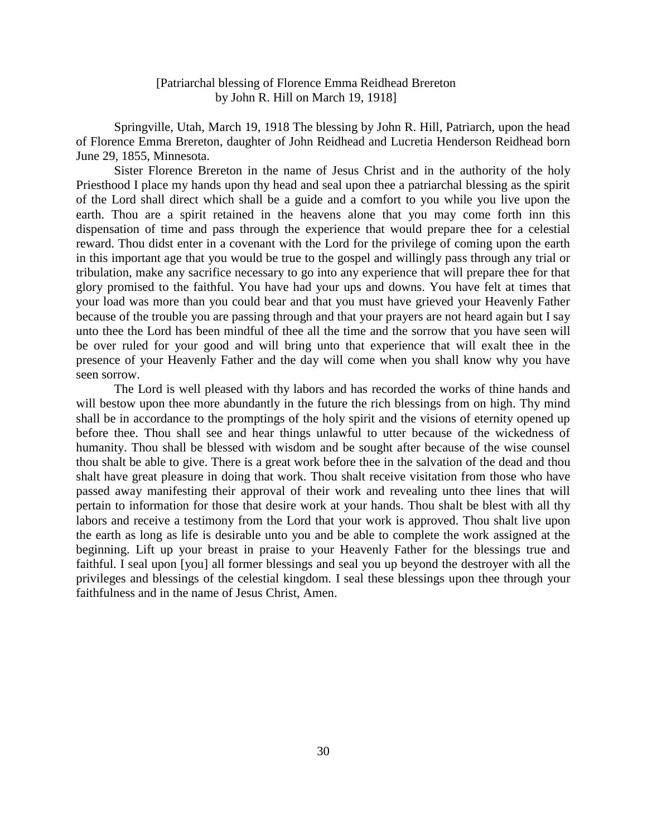# [Patriarchal blessing of Florence Emma Reidhead Brereton by John R. Hill on March 19, 1918]

Springville, Utah, March 19, 1918 The blessing by John R. Hill, Patriarch, upon the head of Florence Emma Brereton, daughter of John Reidhead and Lucretia Henderson Reidhead born June 29, 1855, Minnesota.

Sister Florence Brereton in the name of Jesus Christ and in the authority of the holy Priesthood I place my hands upon thy head and seal upon thee a patriarchal blessing as the spirit of the Lord shall direct which shall be a guide and a comfort to you while you live upon the earth. Thou are a spirit retained in the heavens alone that you may come forth inn this dispensation of time and pass through the experience that would prepare thee for a celestial reward. Thou didst enter in a covenant with the Lord for the privilege of coming upon the earth in this important age that you would be true to the gospel and willingly pass through any trial or tribulation, make any sacrifice necessary to go into any experience that will prepare thee for that glory promised to the faithful. You have had your ups and downs. You have felt at times that your load was more than you could bear and that you must have grieved your Heavenly Father because of the trouble you are passing through and that your prayers are not heard again but I say unto thee the Lord has been mindful of thee all the time and the sorrow that you have seen will be over ruled for your good and will bring unto that experience that will exalt thee in the presence of your Heavenly Father and the day will come when you shall know why you have seen sorrow.

The Lord is well pleased with thy labors and has recorded the works of thine hands and will bestow upon thee more abundantly in the future the rich blessings from on high. Thy mind shall be in accordance to the promptings of the holy spirit and the visions of eternity opened up before thee. Thou shall see and hear things unlawful to utter because of the wickedness of humanity. Thou shall be blessed with wisdom and be sought after because of the wise counsel thou shalt be able to give. There is a great work before thee in the salvation of the dead and thou shalt have great pleasure in doing that work. Thou shalt receive visitation from those who have passed away manifesting their approval of their work and revealing unto thee lines that will pertain to information for those that desire work at your hands. Thou shalt be blest with all thy labors and receive a testimony from the Lord that your work is approved. Thou shalt live upon the earth as long as life is desirable unto you and be able to complete the work assigned at the beginning. Lift up your breast in praise to your Heavenly Father for the blessings true and faithful. I seal upon [you] all former blessings and seal you up beyond the destroyer with all the privileges and blessings of the celestial kingdom. I seal these blessings upon thee through your faithfulness and in the name of Jesus Christ, Amen.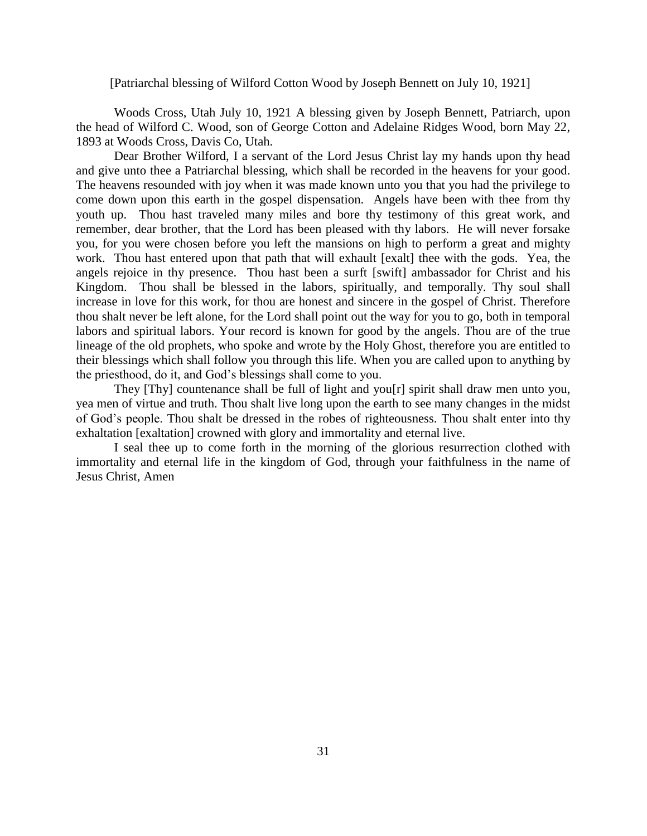#### [Patriarchal blessing of Wilford Cotton Wood by Joseph Bennett on July 10, 1921]

Woods Cross, Utah July 10, 1921 A blessing given by Joseph Bennett, Patriarch, upon the head of Wilford C. Wood, son of George Cotton and Adelaine Ridges Wood, born May 22, 1893 at Woods Cross, Davis Co, Utah.

Dear Brother Wilford, I a servant of the Lord Jesus Christ lay my hands upon thy head and give unto thee a Patriarchal blessing, which shall be recorded in the heavens for your good. The heavens resounded with joy when it was made known unto you that you had the privilege to come down upon this earth in the gospel dispensation. Angels have been with thee from thy youth up. Thou hast traveled many miles and bore thy testimony of this great work, and remember, dear brother, that the Lord has been pleased with thy labors. He will never forsake you, for you were chosen before you left the mansions on high to perform a great and mighty work. Thou hast entered upon that path that will exhault [exalt] thee with the gods. Yea, the angels rejoice in thy presence. Thou hast been a surft [swift] ambassador for Christ and his Kingdom. Thou shall be blessed in the labors, spiritually, and temporally. Thy soul shall increase in love for this work, for thou are honest and sincere in the gospel of Christ. Therefore thou shalt never be left alone, for the Lord shall point out the way for you to go, both in temporal labors and spiritual labors. Your record is known for good by the angels. Thou are of the true lineage of the old prophets, who spoke and wrote by the Holy Ghost, therefore you are entitled to their blessings which shall follow you through this life. When you are called upon to anything by the priesthood, do it, and God's blessings shall come to you.

 They [Thy] countenance shall be full of light and you[r] spirit shall draw men unto you, yea men of virtue and truth. Thou shalt live long upon the earth to see many changes in the midst of God's people. Thou shalt be dressed in the robes of righteousness. Thou shalt enter into thy exhaltation [exaltation] crowned with glory and immortality and eternal live.

 I seal thee up to come forth in the morning of the glorious resurrection clothed with immortality and eternal life in the kingdom of God, through your faithfulness in the name of Jesus Christ, Amen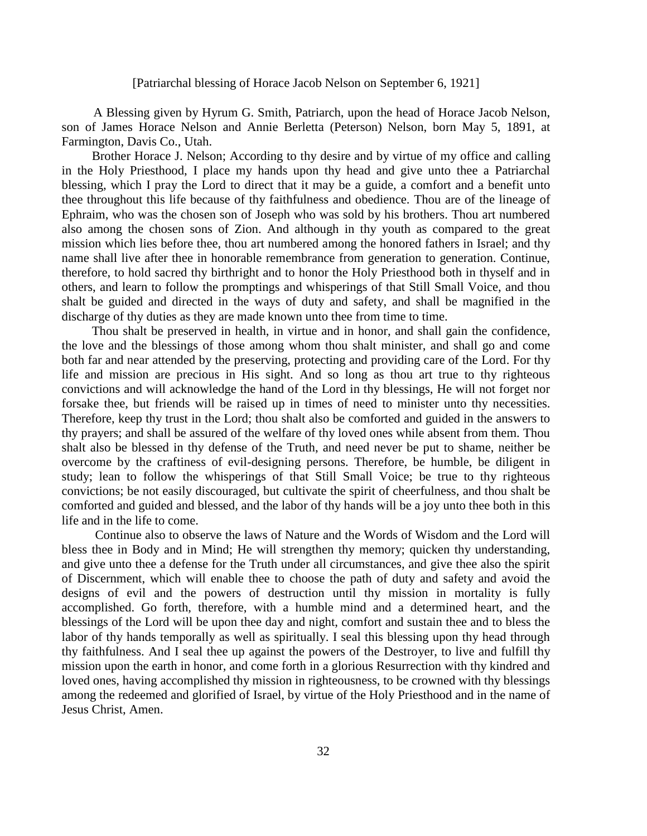### [Patriarchal blessing of Horace Jacob Nelson on September 6, 1921]

 A Blessing given by Hyrum G. Smith, Patriarch, upon the head of Horace Jacob Nelson, son of James Horace Nelson and Annie Berletta (Peterson) Nelson, born May 5, 1891, at Farmington, Davis Co., Utah.

 Brother Horace J. Nelson; According to thy desire and by virtue of my office and calling in the Holy Priesthood, I place my hands upon thy head and give unto thee a Patriarchal blessing, which I pray the Lord to direct that it may be a guide, a comfort and a benefit unto thee throughout this life because of thy faithfulness and obedience. Thou are of the lineage of Ephraim, who was the chosen son of Joseph who was sold by his brothers. Thou art numbered also among the chosen sons of Zion. And although in thy youth as compared to the great mission which lies before thee, thou art numbered among the honored fathers in Israel; and thy name shall live after thee in honorable remembrance from generation to generation. Continue, therefore, to hold sacred thy birthright and to honor the Holy Priesthood both in thyself and in others, and learn to follow the promptings and whisperings of that Still Small Voice, and thou shalt be guided and directed in the ways of duty and safety, and shall be magnified in the discharge of thy duties as they are made known unto thee from time to time.

 Thou shalt be preserved in health, in virtue and in honor, and shall gain the confidence, the love and the blessings of those among whom thou shalt minister, and shall go and come both far and near attended by the preserving, protecting and providing care of the Lord. For thy life and mission are precious in His sight. And so long as thou art true to thy righteous convictions and will acknowledge the hand of the Lord in thy blessings, He will not forget nor forsake thee, but friends will be raised up in times of need to minister unto thy necessities. Therefore, keep thy trust in the Lord; thou shalt also be comforted and guided in the answers to thy prayers; and shall be assured of the welfare of thy loved ones while absent from them. Thou shalt also be blessed in thy defense of the Truth, and need never be put to shame, neither be overcome by the craftiness of evil-designing persons. Therefore, be humble, be diligent in study; lean to follow the whisperings of that Still Small Voice; be true to thy righteous convictions; be not easily discouraged, but cultivate the spirit of cheerfulness, and thou shalt be comforted and guided and blessed, and the labor of thy hands will be a joy unto thee both in this life and in the life to come.

 Continue also to observe the laws of Nature and the Words of Wisdom and the Lord will bless thee in Body and in Mind; He will strengthen thy memory; quicken thy understanding, and give unto thee a defense for the Truth under all circumstances, and give thee also the spirit of Discernment, which will enable thee to choose the path of duty and safety and avoid the designs of evil and the powers of destruction until thy mission in mortality is fully accomplished. Go forth, therefore, with a humble mind and a determined heart, and the blessings of the Lord will be upon thee day and night, comfort and sustain thee and to bless the labor of thy hands temporally as well as spiritually. I seal this blessing upon thy head through thy faithfulness. And I seal thee up against the powers of the Destroyer, to live and fulfill thy mission upon the earth in honor, and come forth in a glorious Resurrection with thy kindred and loved ones, having accomplished thy mission in righteousness, to be crowned with thy blessings among the redeemed and glorified of Israel, by virtue of the Holy Priesthood and in the name of Jesus Christ, Amen.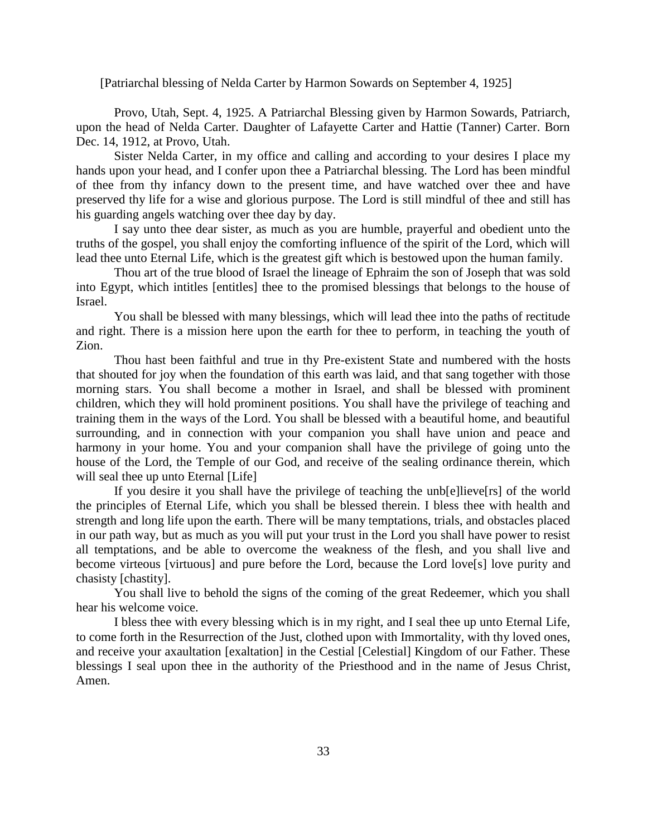[Patriarchal blessing of Nelda Carter by Harmon Sowards on September 4, 1925]

Provo, Utah, Sept. 4, 1925. A Patriarchal Blessing given by Harmon Sowards, Patriarch, upon the head of Nelda Carter. Daughter of Lafayette Carter and Hattie (Tanner) Carter. Born Dec. 14, 1912, at Provo, Utah.

Sister Nelda Carter, in my office and calling and according to your desires I place my hands upon your head, and I confer upon thee a Patriarchal blessing. The Lord has been mindful of thee from thy infancy down to the present time, and have watched over thee and have preserved thy life for a wise and glorious purpose. The Lord is still mindful of thee and still has his guarding angels watching over thee day by day.

I say unto thee dear sister, as much as you are humble, prayerful and obedient unto the truths of the gospel, you shall enjoy the comforting influence of the spirit of the Lord, which will lead thee unto Eternal Life, which is the greatest gift which is bestowed upon the human family.

Thou art of the true blood of Israel the lineage of Ephraim the son of Joseph that was sold into Egypt, which intitles [entitles] thee to the promised blessings that belongs to the house of Israel.

You shall be blessed with many blessings, which will lead thee into the paths of rectitude and right. There is a mission here upon the earth for thee to perform, in teaching the youth of Zion.

Thou hast been faithful and true in thy Pre-existent State and numbered with the hosts that shouted for joy when the foundation of this earth was laid, and that sang together with those morning stars. You shall become a mother in Israel, and shall be blessed with prominent children, which they will hold prominent positions. You shall have the privilege of teaching and training them in the ways of the Lord. You shall be blessed with a beautiful home, and beautiful surrounding, and in connection with your companion you shall have union and peace and harmony in your home. You and your companion shall have the privilege of going unto the house of the Lord, the Temple of our God, and receive of the sealing ordinance therein, which will seal thee up unto Eternal [Life]

If you desire it you shall have the privilege of teaching the unb[e]lieve[rs] of the world the principles of Eternal Life, which you shall be blessed therein. I bless thee with health and strength and long life upon the earth. There will be many temptations, trials, and obstacles placed in our path way, but as much as you will put your trust in the Lord you shall have power to resist all temptations, and be able to overcome the weakness of the flesh, and you shall live and become virteous [virtuous] and pure before the Lord, because the Lord love[s] love purity and chasisty [chastity].

You shall live to behold the signs of the coming of the great Redeemer, which you shall hear his welcome voice.

I bless thee with every blessing which is in my right, and I seal thee up unto Eternal Life, to come forth in the Resurrection of the Just, clothed upon with Immortality, with thy loved ones, and receive your axaultation [exaltation] in the Cestial [Celestial] Kingdom of our Father. These blessings I seal upon thee in the authority of the Priesthood and in the name of Jesus Christ, Amen.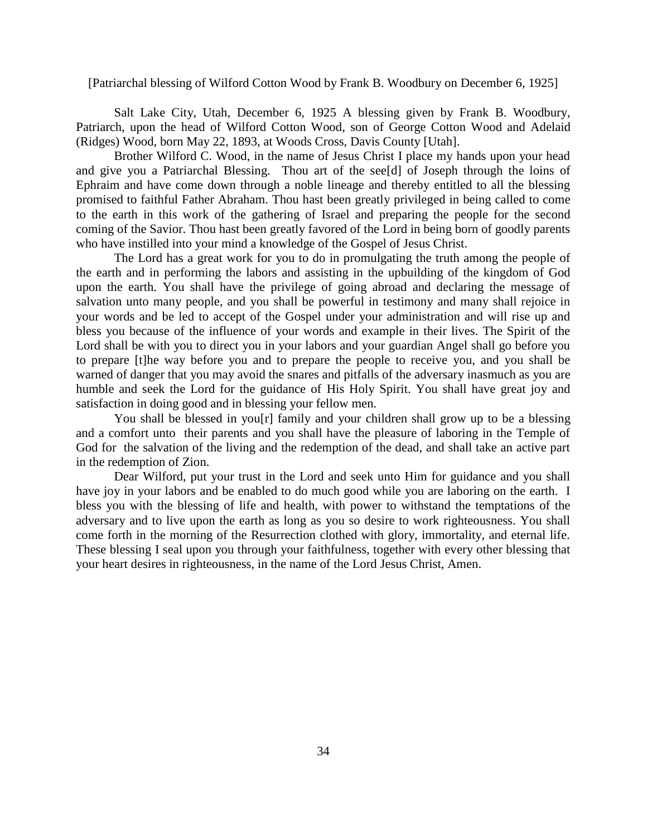[Patriarchal blessing of Wilford Cotton Wood by Frank B. Woodbury on December 6, 1925]

Salt Lake City, Utah, December 6, 1925 A blessing given by Frank B. Woodbury, Patriarch, upon the head of Wilford Cotton Wood, son of George Cotton Wood and Adelaid (Ridges) Wood, born May 22, 1893, at Woods Cross, Davis County [Utah].

Brother Wilford C. Wood, in the name of Jesus Christ I place my hands upon your head and give you a Patriarchal Blessing. Thou art of the see[d] of Joseph through the loins of Ephraim and have come down through a noble lineage and thereby entitled to all the blessing promised to faithful Father Abraham. Thou hast been greatly privileged in being called to come to the earth in this work of the gathering of Israel and preparing the people for the second coming of the Savior. Thou hast been greatly favored of the Lord in being born of goodly parents who have instilled into your mind a knowledge of the Gospel of Jesus Christ.

The Lord has a great work for you to do in promulgating the truth among the people of the earth and in performing the labors and assisting in the upbuilding of the kingdom of God upon the earth. You shall have the privilege of going abroad and declaring the message of salvation unto many people, and you shall be powerful in testimony and many shall rejoice in your words and be led to accept of the Gospel under your administration and will rise up and bless you because of the influence of your words and example in their lives. The Spirit of the Lord shall be with you to direct you in your labors and your guardian Angel shall go before you to prepare [t]he way before you and to prepare the people to receive you, and you shall be warned of danger that you may avoid the snares and pitfalls of the adversary inasmuch as you are humble and seek the Lord for the guidance of His Holy Spirit. You shall have great joy and satisfaction in doing good and in blessing your fellow men.

You shall be blessed in you[r] family and your children shall grow up to be a blessing and a comfort unto their parents and you shall have the pleasure of laboring in the Temple of God for the salvation of the living and the redemption of the dead, and shall take an active part in the redemption of Zion.

Dear Wilford, put your trust in the Lord and seek unto Him for guidance and you shall have joy in your labors and be enabled to do much good while you are laboring on the earth. I bless you with the blessing of life and health, with power to withstand the temptations of the adversary and to live upon the earth as long as you so desire to work righteousness. You shall come forth in the morning of the Resurrection clothed with glory, immortality, and eternal life. These blessing I seal upon you through your faithfulness, together with every other blessing that your heart desires in righteousness, in the name of the Lord Jesus Christ, Amen.